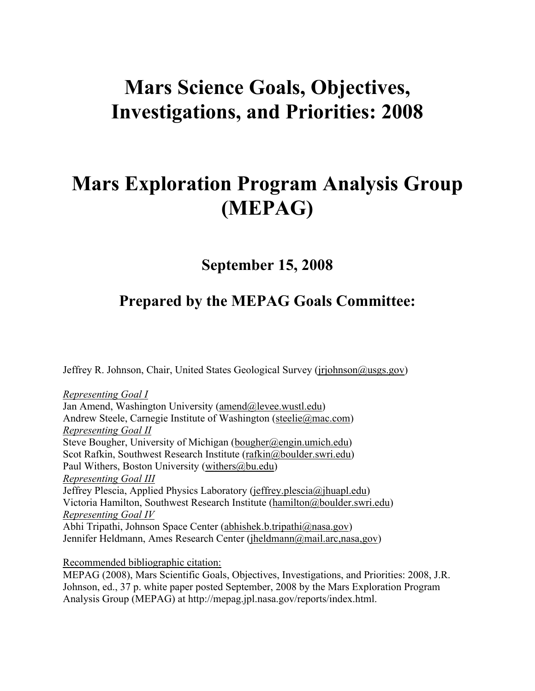# **Mars Science Goals, Objectives, Investigations, and Priorities: 2008**

# **Mars Exploration Program Analysis Group (MEPAG)**

**September 15, 2008**

# **Prepared by the MEPAG Goals Committee:**

Jeffrey R. Johnson, Chair, United States Geological Survey (jrjohnson@usgs.gov)

*Representing Goal I* Jan Amend, Washington University (amend@levee.wustl.edu) Andrew Steele, Carnegie Institute of Washington (steelie@mac.com) *Representing Goal II* Steve Bougher, University of Michigan (bougher@engin.umich.edu) Scot Rafkin, Southwest Research Institute (rafkin@boulder.swri.edu) Paul Withers, Boston University (withers $@$ bu.edu) *Representing Goal III*  Jeffrey Plescia, Applied Physics Laboratory (jeffrey.plescia@jhuapl.edu) Victoria Hamilton, Southwest Research Institute (hamilton@boulder.swri.edu) *Representing Goal IV* Abhi Tripathi, Johnson Space Center (abhishek.b.tripathi@nasa.gov) Jennifer Heldmann, Ames Research Center (jheldmann@mail.arc,nasa,gov)

Recommended bibliographic citation:

MEPAG (2008), Mars Scientific Goals, Objectives, Investigations, and Priorities: 2008, J.R. Johnson, ed., 37 p. white paper posted September, 2008 by the Mars Exploration Program Analysis Group (MEPAG) at http://mepag.jpl.nasa.gov/reports/index.html.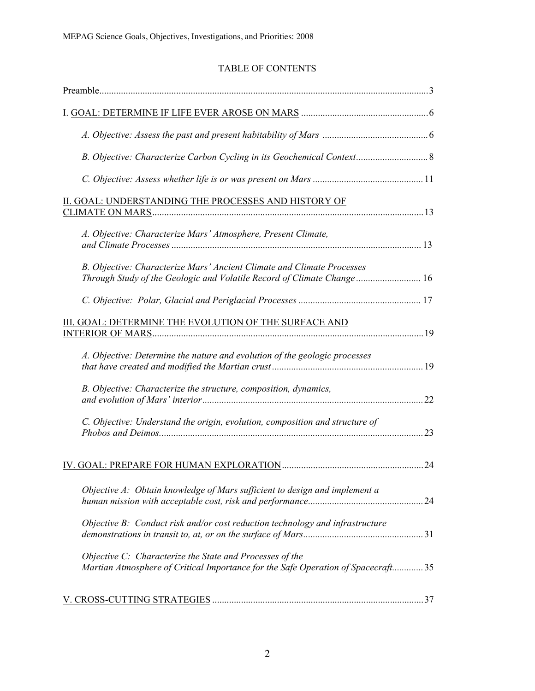### TABLE OF CONTENTS

| II. GOAL: UNDERSTANDING THE PROCESSES AND HISTORY OF                                                                                             |    |
|--------------------------------------------------------------------------------------------------------------------------------------------------|----|
| A. Objective: Characterize Mars' Atmosphere, Present Climate,                                                                                    |    |
| B. Objective: Characterize Mars' Ancient Climate and Climate Processes<br>Through Study of the Geologic and Volatile Record of Climate Change 16 |    |
|                                                                                                                                                  |    |
| III. GOAL: DETERMINE THE EVOLUTION OF THE SURFACE AND                                                                                            |    |
| A. Objective: Determine the nature and evolution of the geologic processes                                                                       |    |
| B. Objective: Characterize the structure, composition, dynamics,                                                                                 | 22 |
| C. Objective: Understand the origin, evolution, composition and structure of                                                                     | 23 |
|                                                                                                                                                  | 24 |
| Objective A: Obtain knowledge of Mars sufficient to design and implement a                                                                       |    |
| Objective B: Conduct risk and/or cost reduction technology and infrastructure                                                                    |    |
| Objective C: Characterize the State and Processes of the<br>Martian Atmosphere of Critical Importance for the Safe Operation of Spacecraft35     |    |
|                                                                                                                                                  |    |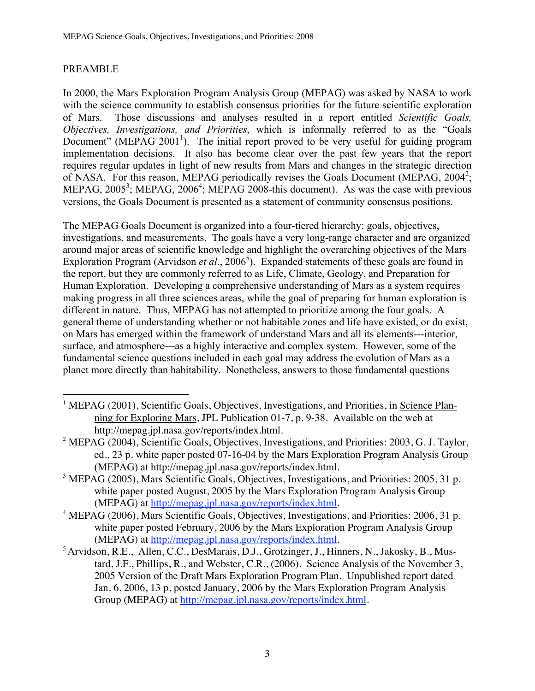#### PREAMBLE

In 2000, the Mars Exploration Program Analysis Group (MEPAG) was asked by NASA to work with the science community to establish consensus priorities for the future scientific exploration of Mars. Those discussions and analyses resulted in a report entitled *Scientific Goals, Objectives, Investigations, and Priorities*, which is informally referred to as the "Goals Document" (MEPAG 2001<sup>1</sup>). The initial report proved to be very useful for guiding program implementation decisions. It also has become clear over the past few years that the report requires regular updates in light of new results from Mars and changes in the strategic direction of NASA. For this reason, MEPAG periodically revises the Goals Document (MEPAG, 2004<sup>2</sup>; MEPAG,  $2005^3$ ; MEPAG,  $2006^4$ ; MEPAG  $2008$ -this document). As was the case with previous versions, the Goals Document is presented as a statement of community consensus positions.

The MEPAG Goals Document is organized into a four-tiered hierarchy: goals, objectives, investigations, and measurements. The goals have a very long-range character and are organized around major areas of scientific knowledge and highlight the overarching objectives of the Mars Exploration Program (Arvidson *et al.*, 2006<sup>5</sup>). Expanded statements of these goals are found in the report, but they are commonly referred to as Life, Climate, Geology, and Preparation for Human Exploration. Developing a comprehensive understanding of Mars as a system requires making progress in all three sciences areas, while the goal of preparing for human exploration is different in nature. Thus, MEPAG has not attempted to prioritize among the four goals. A general theme of understanding whether or not habitable zones and life have existed, or do exist, on Mars has emerged within the framework of understand Mars and all its elements---interior, surface, and atmosphere—as a highly interactive and complex system. However, some of the fundamental science questions included in each goal may address the evolution of Mars as a planet more directly than habitability. Nonetheless, answers to those fundamental questions

- |<br>|<br>| <sup>1</sup> MEPAG (2001), Scientific Goals, Objectives, Investigations, and Priorities, in Science Planning for Exploring Mars, JPL Publication 01-7, p. 9-38. Available on the web at http://mepag.jpl.nasa.gov/reports/index.html.
- <sup>2</sup> MEPAG (2004), Scientific Goals, Objectives, Investigations, and Priorities: 2003, G.J. Taylor, ed., 23 p. white paper posted 07-16-04 by the Mars Exploration Program Analysis Group (MEPAG) at http://mepag.jpl.nasa.gov/reports/index.html.
- $3$  MEPAG (2005), Mars Scientific Goals, Objectives, Investigations, and Priorities: 2005, 31 p. white paper posted August, 2005 by the Mars Exploration Program Analysis Group (MEPAG) at http://mepag.jpl.nasa.gov/reports/index.html.
- <sup>4</sup> MEPAG (2006), Mars Scientific Goals, Objectives, Investigations, and Priorities: 2006, 31 p. white paper posted February, 2006 by the Mars Exploration Program Analysis Group (MEPAG) at http://mepag.jpl.nasa.gov/reports/index.html.
- <sup>5</sup> Arvidson, R.E., Allen, C.C., DesMarais, D.J., Grotzinger, J., Hinners, N., Jakosky, B., Mustard, J.F., Phillips, R., and Webster, C.R., (2006). Science Analysis of the November 3, 2005 Version of the Draft Mars Exploration Program Plan. Unpublished report dated Jan. 6, 2006, 13 p, posted January, 2006 by the Mars Exploration Program Analysis Group (MEPAG) at http://mepag.jpl.nasa.gov/reports/index.html.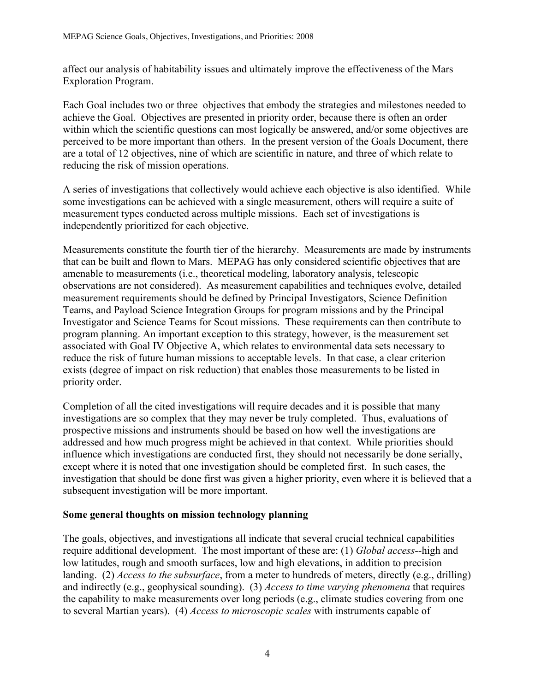affect our analysis of habitability issues and ultimately improve the effectiveness of the Mars Exploration Program.

Each Goal includes two or three objectives that embody the strategies and milestones needed to achieve the Goal. Objectives are presented in priority order, because there is often an order within which the scientific questions can most logically be answered, and/or some objectives are perceived to be more important than others. In the present version of the Goals Document, there are a total of 12 objectives, nine of which are scientific in nature, and three of which relate to reducing the risk of mission operations.

A series of investigations that collectively would achieve each objective is also identified. While some investigations can be achieved with a single measurement, others will require a suite of measurement types conducted across multiple missions. Each set of investigations is independently prioritized for each objective.

Measurements constitute the fourth tier of the hierarchy. Measurements are made by instruments that can be built and flown to Mars. MEPAG has only considered scientific objectives that are amenable to measurements (i.e., theoretical modeling, laboratory analysis, telescopic observations are not considered). As measurement capabilities and techniques evolve, detailed measurement requirements should be defined by Principal Investigators, Science Definition Teams, and Payload Science Integration Groups for program missions and by the Principal Investigator and Science Teams for Scout missions. These requirements can then contribute to program planning. An important exception to this strategy, however, is the measurement set associated with Goal IV Objective A, which relates to environmental data sets necessary to reduce the risk of future human missions to acceptable levels. In that case, a clear criterion exists (degree of impact on risk reduction) that enables those measurements to be listed in priority order.

Completion of all the cited investigations will require decades and it is possible that many investigations are so complex that they may never be truly completed. Thus, evaluations of prospective missions and instruments should be based on how well the investigations are addressed and how much progress might be achieved in that context. While priorities should influence which investigations are conducted first, they should not necessarily be done serially, except where it is noted that one investigation should be completed first. In such cases, the investigation that should be done first was given a higher priority, even where it is believed that a subsequent investigation will be more important.

#### **Some general thoughts on mission technology planning**

The goals, objectives, and investigations all indicate that several crucial technical capabilities require additional development. The most important of these are: (1) *Global access*--high and low latitudes, rough and smooth surfaces, low and high elevations, in addition to precision landing. (2) *Access to the subsurface*, from a meter to hundreds of meters, directly (e.g., drilling) and indirectly (e.g., geophysical sounding). (3) *Access to time varying phenomena* that requires the capability to make measurements over long periods (e.g., climate studies covering from one to several Martian years). (4) *Access to microscopic scales* with instruments capable of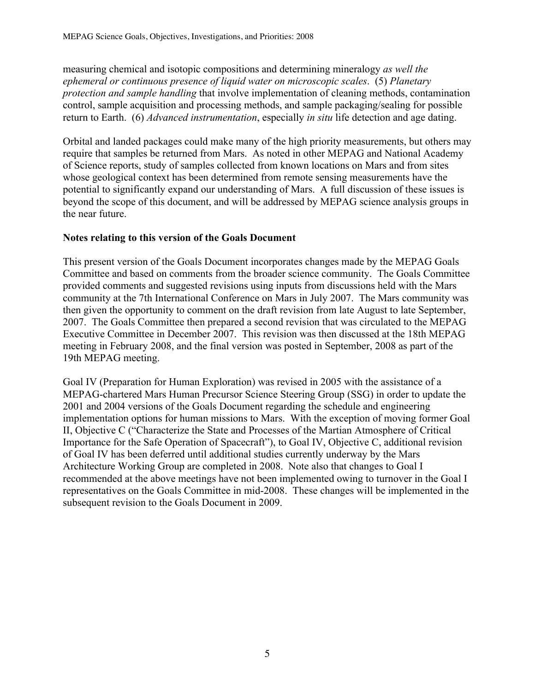measuring chemical and isotopic compositions and determining mineralogy *as well the ephemeral or continuous presence of liquid water on microscopic scales*. (5) *Planetary protection and sample handling* that involve implementation of cleaning methods, contamination control, sample acquisition and processing methods, and sample packaging/sealing for possible return to Earth. (6) *Advanced instrumentation*, especially *in situ* life detection and age dating.

Orbital and landed packages could make many of the high priority measurements, but others may require that samples be returned from Mars. As noted in other MEPAG and National Academy of Science reports, study of samples collected from known locations on Mars and from sites whose geological context has been determined from remote sensing measurements have the potential to significantly expand our understanding of Mars. A full discussion of these issues is beyond the scope of this document, and will be addressed by MEPAG science analysis groups in the near future.

#### **Notes relating to this version of the Goals Document**

This present version of the Goals Document incorporates changes made by the MEPAG Goals Committee and based on comments from the broader science community. The Goals Committee provided comments and suggested revisions using inputs from discussions held with the Mars community at the 7th International Conference on Mars in July 2007. The Mars community was then given the opportunity to comment on the draft revision from late August to late September, 2007. The Goals Committee then prepared a second revision that was circulated to the MEPAG Executive Committee in December 2007. This revision was then discussed at the 18th MEPAG meeting in February 2008, and the final version was posted in September, 2008 as part of the 19th MEPAG meeting.

Goal IV (Preparation for Human Exploration) was revised in 2005 with the assistance of a MEPAG-chartered Mars Human Precursor Science Steering Group (SSG) in order to update the 2001 and 2004 versions of the Goals Document regarding the schedule and engineering implementation options for human missions to Mars. With the exception of moving former Goal II, Objective C ("Characterize the State and Processes of the Martian Atmosphere of Critical Importance for the Safe Operation of Spacecraft"), to Goal IV, Objective C, additional revision of Goal IV has been deferred until additional studies currently underway by the Mars Architecture Working Group are completed in 2008. Note also that changes to Goal I recommended at the above meetings have not been implemented owing to turnover in the Goal I representatives on the Goals Committee in mid-2008. These changes will be implemented in the subsequent revision to the Goals Document in 2009.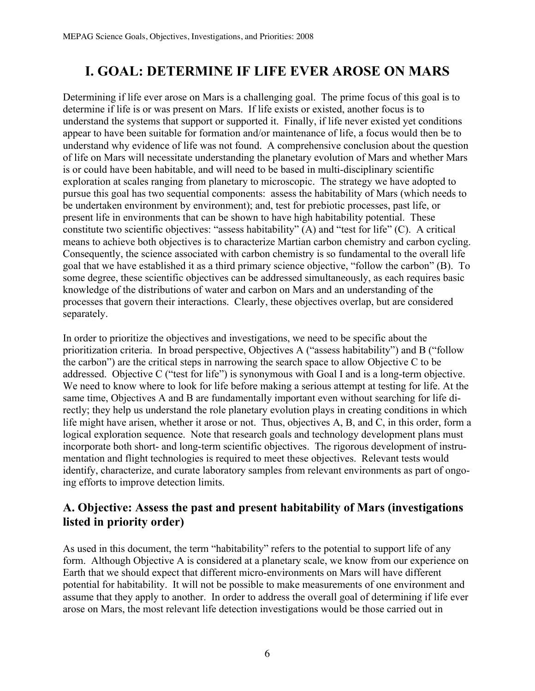# **I. GOAL: DETERMINE IF LIFE EVER AROSE ON MARS**

Determining if life ever arose on Mars is a challenging goal. The prime focus of this goal is to determine if life is or was present on Mars. If life exists or existed, another focus is to understand the systems that support or supported it. Finally, if life never existed yet conditions appear to have been suitable for formation and/or maintenance of life, a focus would then be to understand why evidence of life was not found. A comprehensive conclusion about the question of life on Mars will necessitate understanding the planetary evolution of Mars and whether Mars is or could have been habitable, and will need to be based in multi-disciplinary scientific exploration at scales ranging from planetary to microscopic. The strategy we have adopted to pursue this goal has two sequential components: assess the habitability of Mars (which needs to be undertaken environment by environment); and, test for prebiotic processes, past life, or present life in environments that can be shown to have high habitability potential. These constitute two scientific objectives: "assess habitability" (A) and "test for life" (C). A critical means to achieve both objectives is to characterize Martian carbon chemistry and carbon cycling. Consequently, the science associated with carbon chemistry is so fundamental to the overall life goal that we have established it as a third primary science objective, "follow the carbon" (B). To some degree, these scientific objectives can be addressed simultaneously, as each requires basic knowledge of the distributions of water and carbon on Mars and an understanding of the processes that govern their interactions. Clearly, these objectives overlap, but are considered separately.

In order to prioritize the objectives and investigations, we need to be specific about the prioritization criteria. In broad perspective, Objectives A ("assess habitability") and B ("follow the carbon") are the critical steps in narrowing the search space to allow Objective C to be addressed. Objective C ("test for life") is synonymous with Goal I and is a long-term objective. We need to know where to look for life before making a serious attempt at testing for life. At the same time, Objectives A and B are fundamentally important even without searching for life directly; they help us understand the role planetary evolution plays in creating conditions in which life might have arisen, whether it arose or not. Thus, objectives A, B, and C, in this order, form a logical exploration sequence. Note that research goals and technology development plans must incorporate both short- and long-term scientific objectives. The rigorous development of instrumentation and flight technologies is required to meet these objectives. Relevant tests would identify, characterize, and curate laboratory samples from relevant environments as part of ongoing efforts to improve detection limits.

## **A. Objective: Assess the past and present habitability of Mars (investigations listed in priority order)**

As used in this document, the term "habitability" refers to the potential to support life of any form. Although Objective A is considered at a planetary scale, we know from our experience on Earth that we should expect that different micro-environments on Mars will have different potential for habitability. It will not be possible to make measurements of one environment and assume that they apply to another. In order to address the overall goal of determining if life ever arose on Mars, the most relevant life detection investigations would be those carried out in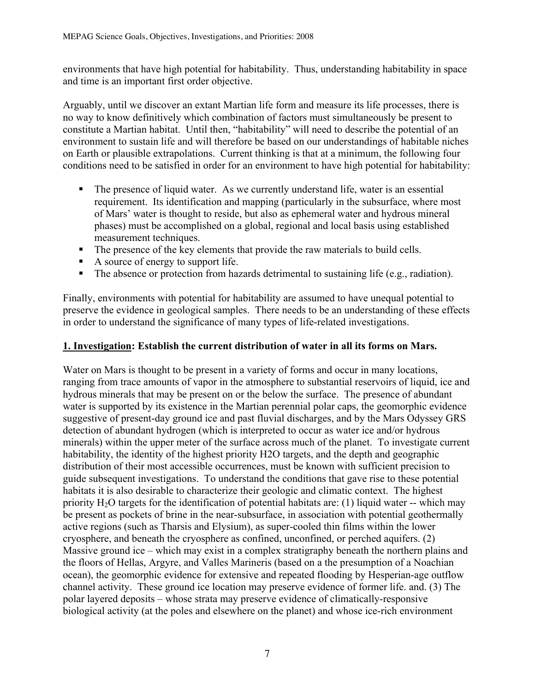environments that have high potential for habitability. Thus, understanding habitability in space and time is an important first order objective.

Arguably, until we discover an extant Martian life form and measure its life processes, there is no way to know definitively which combination of factors must simultaneously be present to constitute a Martian habitat. Until then, "habitability" will need to describe the potential of an environment to sustain life and will therefore be based on our understandings of habitable niches on Earth or plausible extrapolations. Current thinking is that at a minimum, the following four conditions need to be satisfied in order for an environment to have high potential for habitability:

- The presence of liquid water. As we currently understand life, water is an essential requirement. Its identification and mapping (particularly in the subsurface, where most of Mars' water is thought to reside, but also as ephemeral water and hydrous mineral phases) must be accomplished on a global, regional and local basis using established measurement techniques.
- The presence of the key elements that provide the raw materials to build cells.
- A source of energy to support life.
- The absence or protection from hazards detrimental to sustaining life (e.g., radiation).

Finally, environments with potential for habitability are assumed to have unequal potential to preserve the evidence in geological samples. There needs to be an understanding of these effects in order to understand the significance of many types of life-related investigations.

#### **1. Investigation: Establish the current distribution of water in all its forms on Mars.**

Water on Mars is thought to be present in a variety of forms and occur in many locations, ranging from trace amounts of vapor in the atmosphere to substantial reservoirs of liquid, ice and hydrous minerals that may be present on or the below the surface. The presence of abundant water is supported by its existence in the Martian perennial polar caps, the geomorphic evidence suggestive of present-day ground ice and past fluvial discharges, and by the Mars Odyssey GRS detection of abundant hydrogen (which is interpreted to occur as water ice and/or hydrous minerals) within the upper meter of the surface across much of the planet. To investigate current habitability, the identity of the highest priority H2O targets, and the depth and geographic distribution of their most accessible occurrences, must be known with sufficient precision to guide subsequent investigations. To understand the conditions that gave rise to these potential habitats it is also desirable to characterize their geologic and climatic context. The highest priority  $H_2O$  targets for the identification of potential habitats are: (1) liquid water -- which may be present as pockets of brine in the near-subsurface, in association with potential geothermally active regions (such as Tharsis and Elysium), as super-cooled thin films within the lower cryosphere, and beneath the cryosphere as confined, unconfined, or perched aquifers. (2) Massive ground ice – which may exist in a complex stratigraphy beneath the northern plains and the floors of Hellas, Argyre, and Valles Marineris (based on a the presumption of a Noachian ocean), the geomorphic evidence for extensive and repeated flooding by Hesperian-age outflow channel activity. These ground ice location may preserve evidence of former life. and. (3) The polar layered deposits – whose strata may preserve evidence of climatically-responsive biological activity (at the poles and elsewhere on the planet) and whose ice-rich environment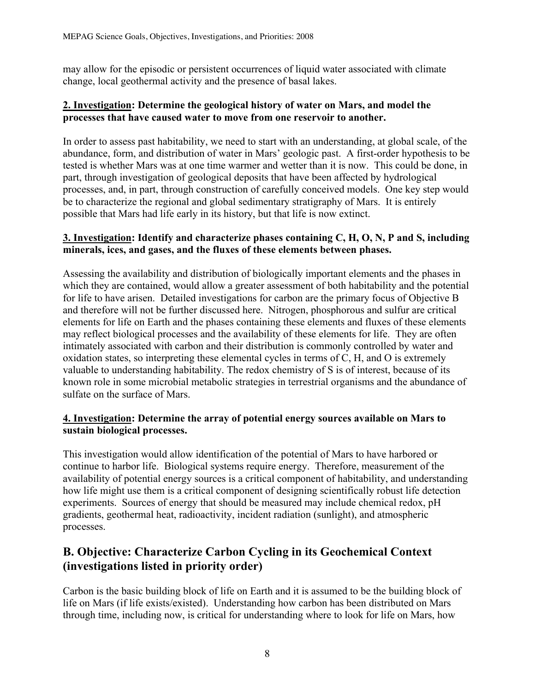may allow for the episodic or persistent occurrences of liquid water associated with climate change, local geothermal activity and the presence of basal lakes.

#### **2. Investigation: Determine the geological history of water on Mars, and model the processes that have caused water to move from one reservoir to another.**

In order to assess past habitability, we need to start with an understanding, at global scale, of the abundance, form, and distribution of water in Mars' geologic past. A first-order hypothesis to be tested is whether Mars was at one time warmer and wetter than it is now. This could be done, in part, through investigation of geological deposits that have been affected by hydrological processes, and, in part, through construction of carefully conceived models. One key step would be to characterize the regional and global sedimentary stratigraphy of Mars. It is entirely possible that Mars had life early in its history, but that life is now extinct.

#### **3. Investigation: Identify and characterize phases containing C, H, O, N, P and S, including minerals, ices, and gases, and the fluxes of these elements between phases.**

Assessing the availability and distribution of biologically important elements and the phases in which they are contained, would allow a greater assessment of both habitability and the potential for life to have arisen. Detailed investigations for carbon are the primary focus of Objective B and therefore will not be further discussed here. Nitrogen, phosphorous and sulfur are critical elements for life on Earth and the phases containing these elements and fluxes of these elements may reflect biological processes and the availability of these elements for life. They are often intimately associated with carbon and their distribution is commonly controlled by water and oxidation states, so interpreting these elemental cycles in terms of C, H, and O is extremely valuable to understanding habitability. The redox chemistry of S is of interest, because of its known role in some microbial metabolic strategies in terrestrial organisms and the abundance of sulfate on the surface of Mars.

#### **4. Investigation: Determine the array of potential energy sources available on Mars to sustain biological processes.**

This investigation would allow identification of the potential of Mars to have harbored or continue to harbor life. Biological systems require energy. Therefore, measurement of the availability of potential energy sources is a critical component of habitability, and understanding how life might use them is a critical component of designing scientifically robust life detection experiments. Sources of energy that should be measured may include chemical redox, pH gradients, geothermal heat, radioactivity, incident radiation (sunlight), and atmospheric processes.

# **B. Objective: Characterize Carbon Cycling in its Geochemical Context (investigations listed in priority order)**

Carbon is the basic building block of life on Earth and it is assumed to be the building block of life on Mars (if life exists/existed). Understanding how carbon has been distributed on Mars through time, including now, is critical for understanding where to look for life on Mars, how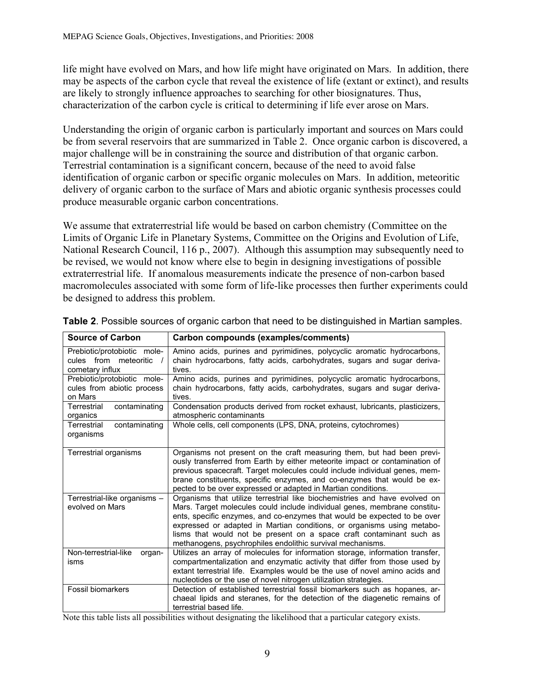life might have evolved on Mars, and how life might have originated on Mars. In addition, there may be aspects of the carbon cycle that reveal the existence of life (extant or extinct), and results are likely to strongly influence approaches to searching for other biosignatures. Thus, characterization of the carbon cycle is critical to determining if life ever arose on Mars.

Understanding the origin of organic carbon is particularly important and sources on Mars could be from several reservoirs that are summarized in Table 2. Once organic carbon is discovered, a major challenge will be in constraining the source and distribution of that organic carbon. Terrestrial contamination is a significant concern, because of the need to avoid false identification of organic carbon or specific organic molecules on Mars. In addition, meteoritic delivery of organic carbon to the surface of Mars and abiotic organic synthesis processes could produce measurable organic carbon concentrations.

We assume that extraterrestrial life would be based on carbon chemistry (Committee on the Limits of Organic Life in Planetary Systems, Committee on the Origins and Evolution of Life, National Research Council, 116 p., 2007). Although this assumption may subsequently need to be revised, we would not know where else to begin in designing investigations of possible extraterrestrial life. If anomalous measurements indicate the presence of non-carbon based macromolecules associated with some form of life-like processes then further experiments could be designed to address this problem.

| <b>Source of Carbon</b>                                                 | Carbon compounds (examples/comments)                                                                                                                                                                                                                                                                                                                                                                                                                |  |  |  |
|-------------------------------------------------------------------------|-----------------------------------------------------------------------------------------------------------------------------------------------------------------------------------------------------------------------------------------------------------------------------------------------------------------------------------------------------------------------------------------------------------------------------------------------------|--|--|--|
| Prebiotic/protobiotic mole-<br>cules from meteoritic<br>cometary influx | Amino acids, purines and pyrimidines, polycyclic aromatic hydrocarbons,<br>chain hydrocarbons, fatty acids, carbohydrates, sugars and sugar deriva-<br>tives.                                                                                                                                                                                                                                                                                       |  |  |  |
| Prebiotic/protobiotic mole-<br>cules from abiotic process<br>on Mars    | Amino acids, purines and pyrimidines, polycyclic aromatic hydrocarbons,<br>chain hydrocarbons, fatty acids, carbohydrates, sugars and sugar deriva-<br>tives.                                                                                                                                                                                                                                                                                       |  |  |  |
| Terrestrial<br>contaminating<br>organics                                | Condensation products derived from rocket exhaust, lubricants, plasticizers,<br>atmospheric contaminants                                                                                                                                                                                                                                                                                                                                            |  |  |  |
| contaminating<br>Terrestrial<br>organisms                               | Whole cells, cell components (LPS, DNA, proteins, cytochromes)                                                                                                                                                                                                                                                                                                                                                                                      |  |  |  |
| Terrestrial organisms                                                   | Organisms not present on the craft measuring them, but had been previ-<br>ously transferred from Earth by either meteorite impact or contamination of<br>previous spacecraft. Target molecules could include individual genes, mem-<br>brane constituents, specific enzymes, and co-enzymes that would be ex-<br>pected to be over expressed or adapted in Martian conditions.                                                                      |  |  |  |
| Terrestrial-like organisms -<br>evolved on Mars                         | Organisms that utilize terrestrial like biochemistries and have evolved on<br>Mars. Target molecules could include individual genes, membrane constitu-<br>ents, specific enzymes, and co-enzymes that would be expected to be over<br>expressed or adapted in Martian conditions, or organisms using metabo-<br>lisms that would not be present on a space craft contaminant such as<br>methanogens, psychrophiles endolithic survival mechanisms. |  |  |  |
| Non-terrestrial-like<br>organ-<br>isms                                  | Utilizes an array of molecules for information storage, information transfer,<br>compartmentalization and enzymatic activity that differ from those used by<br>extant terrestrial life. Examples would be the use of novel amino acids and<br>nucleotides or the use of novel nitrogen utilization strategies.                                                                                                                                      |  |  |  |
| <b>Fossil biomarkers</b>                                                | Detection of established terrestrial fossil biomarkers such as hopanes, ar-<br>chaeal lipids and steranes, for the detection of the diagenetic remains of<br>terrestrial based life.                                                                                                                                                                                                                                                                |  |  |  |

**Table 2**. Possible sources of organic carbon that need to be distinguished in Martian samples.

Note this table lists all possibilities without designating the likelihood that a particular category exists.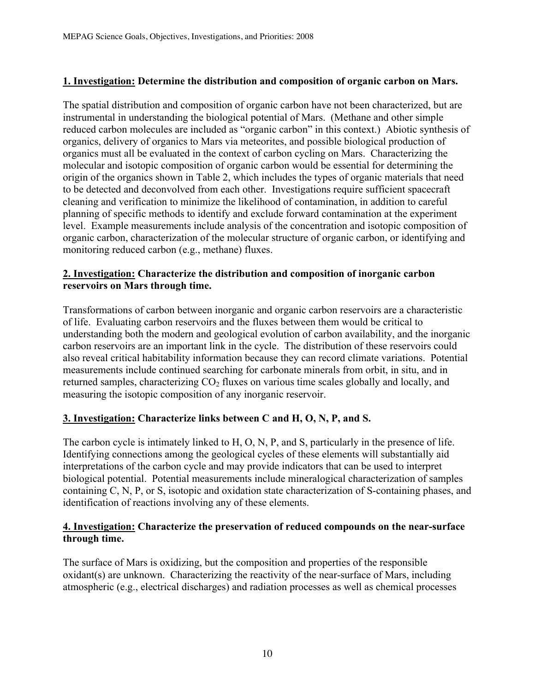#### **1. Investigation: Determine the distribution and composition of organic carbon on Mars.**

The spatial distribution and composition of organic carbon have not been characterized, but are instrumental in understanding the biological potential of Mars. (Methane and other simple reduced carbon molecules are included as "organic carbon" in this context.) Abiotic synthesis of organics, delivery of organics to Mars via meteorites, and possible biological production of organics must all be evaluated in the context of carbon cycling on Mars. Characterizing the molecular and isotopic composition of organic carbon would be essential for determining the origin of the organics shown in Table 2, which includes the types of organic materials that need to be detected and deconvolved from each other. Investigations require sufficient spacecraft cleaning and verification to minimize the likelihood of contamination, in addition to careful planning of specific methods to identify and exclude forward contamination at the experiment level. Example measurements include analysis of the concentration and isotopic composition of organic carbon, characterization of the molecular structure of organic carbon, or identifying and monitoring reduced carbon (e.g., methane) fluxes.

#### **2. Investigation: Characterize the distribution and composition of inorganic carbon reservoirs on Mars through time.**

Transformations of carbon between inorganic and organic carbon reservoirs are a characteristic of life. Evaluating carbon reservoirs and the fluxes between them would be critical to understanding both the modern and geological evolution of carbon availability, and the inorganic carbon reservoirs are an important link in the cycle. The distribution of these reservoirs could also reveal critical habitability information because they can record climate variations. Potential measurements include continued searching for carbonate minerals from orbit, in situ, and in returned samples, characterizing  $CO<sub>2</sub>$  fluxes on various time scales globally and locally, and measuring the isotopic composition of any inorganic reservoir.

#### **3. Investigation: Characterize links between C and H, O, N, P, and S.**

The carbon cycle is intimately linked to H, O, N, P, and S, particularly in the presence of life. Identifying connections among the geological cycles of these elements will substantially aid interpretations of the carbon cycle and may provide indicators that can be used to interpret biological potential. Potential measurements include mineralogical characterization of samples containing C, N, P, or S, isotopic and oxidation state characterization of S-containing phases, and identification of reactions involving any of these elements.

#### **4. Investigation: Characterize the preservation of reduced compounds on the near-surface through time.**

The surface of Mars is oxidizing, but the composition and properties of the responsible oxidant(s) are unknown. Characterizing the reactivity of the near-surface of Mars, including atmospheric (e.g., electrical discharges) and radiation processes as well as chemical processes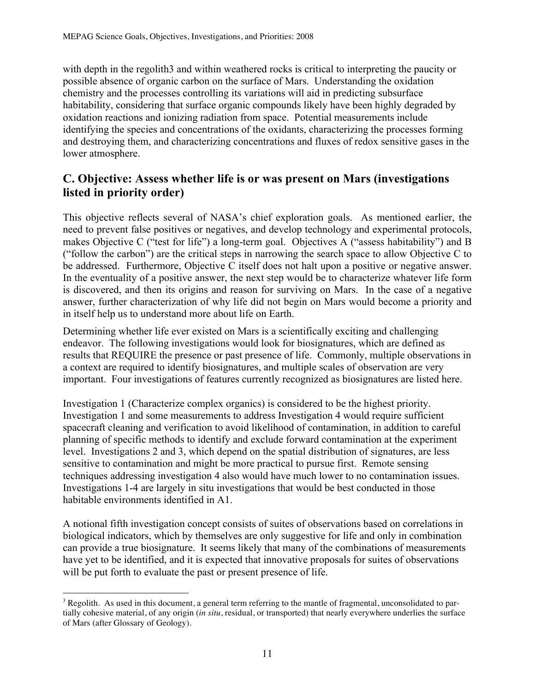with depth in the regolith3 and within weathered rocks is critical to interpreting the paucity or possible absence of organic carbon on the surface of Mars. Understanding the oxidation chemistry and the processes controlling its variations will aid in predicting subsurface habitability, considering that surface organic compounds likely have been highly degraded by oxidation reactions and ionizing radiation from space. Potential measurements include identifying the species and concentrations of the oxidants, characterizing the processes forming and destroying them, and characterizing concentrations and fluxes of redox sensitive gases in the lower atmosphere.

## **C. Objective: Assess whether life is or was present on Mars (investigations listed in priority order)**

This objective reflects several of NASA's chief exploration goals. As mentioned earlier, the need to prevent false positives or negatives, and develop technology and experimental protocols, makes Objective C ("test for life") a long-term goal. Objectives A ("assess habitability") and B ("follow the carbon") are the critical steps in narrowing the search space to allow Objective C to be addressed. Furthermore, Objective C itself does not halt upon a positive or negative answer. In the eventuality of a positive answer, the next step would be to characterize whatever life form is discovered, and then its origins and reason for surviving on Mars. In the case of a negative answer, further characterization of why life did not begin on Mars would become a priority and in itself help us to understand more about life on Earth.

Determining whether life ever existed on Mars is a scientifically exciting and challenging endeavor. The following investigations would look for biosignatures, which are defined as results that REQUIRE the presence or past presence of life. Commonly, multiple observations in a context are required to identify biosignatures, and multiple scales of observation are very important. Four investigations of features currently recognized as biosignatures are listed here.

Investigation 1 (Characterize complex organics) is considered to be the highest priority. Investigation 1 and some measurements to address Investigation 4 would require sufficient spacecraft cleaning and verification to avoid likelihood of contamination, in addition to careful planning of specific methods to identify and exclude forward contamination at the experiment level. Investigations 2 and 3, which depend on the spatial distribution of signatures, are less sensitive to contamination and might be more practical to pursue first. Remote sensing techniques addressing investigation 4 also would have much lower to no contamination issues. Investigations 1-4 are largely in situ investigations that would be best conducted in those habitable environments identified in A1.

A notional fifth investigation concept consists of suites of observations based on correlations in biological indicators, which by themselves are only suggestive for life and only in combination can provide a true biosignature. It seems likely that many of the combinations of measurements have yet to be identified, and it is expected that innovative proposals for suites of observations will be put forth to evaluate the past or present presence of life.

<sup>&</sup>lt;sup>2</sup><br>3  $3$  Regolith. As used in this document, a general term referring to the mantle of fragmental, unconsolidated to partially cohesive material, of any origin (*in situ*, residual, or transported) that nearly everywhere underlies the surface of Mars (after Glossary of Geology).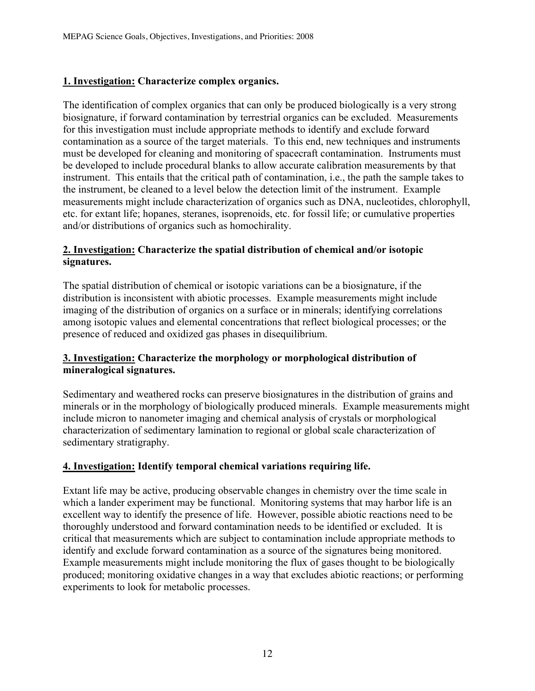#### **1. Investigation: Characterize complex organics.**

The identification of complex organics that can only be produced biologically is a very strong biosignature, if forward contamination by terrestrial organics can be excluded. Measurements for this investigation must include appropriate methods to identify and exclude forward contamination as a source of the target materials. To this end, new techniques and instruments must be developed for cleaning and monitoring of spacecraft contamination. Instruments must be developed to include procedural blanks to allow accurate calibration measurements by that instrument. This entails that the critical path of contamination, i.e., the path the sample takes to the instrument, be cleaned to a level below the detection limit of the instrument. Example measurements might include characterization of organics such as DNA, nucleotides, chlorophyll, etc. for extant life; hopanes, steranes, isoprenoids, etc. for fossil life; or cumulative properties and/or distributions of organics such as homochirality.

#### **2. Investigation: Characterize the spatial distribution of chemical and/or isotopic signatures.**

The spatial distribution of chemical or isotopic variations can be a biosignature, if the distribution is inconsistent with abiotic processes. Example measurements might include imaging of the distribution of organics on a surface or in minerals; identifying correlations among isotopic values and elemental concentrations that reflect biological processes; or the presence of reduced and oxidized gas phases in disequilibrium.

#### **3. Investigation: Characterize the morphology or morphological distribution of mineralogical signatures.**

Sedimentary and weathered rocks can preserve biosignatures in the distribution of grains and minerals or in the morphology of biologically produced minerals. Example measurements might include micron to nanometer imaging and chemical analysis of crystals or morphological characterization of sedimentary lamination to regional or global scale characterization of sedimentary stratigraphy.

#### **4. Investigation: Identify temporal chemical variations requiring life.**

Extant life may be active, producing observable changes in chemistry over the time scale in which a lander experiment may be functional. Monitoring systems that may harbor life is an excellent way to identify the presence of life. However, possible abiotic reactions need to be thoroughly understood and forward contamination needs to be identified or excluded. It is critical that measurements which are subject to contamination include appropriate methods to identify and exclude forward contamination as a source of the signatures being monitored. Example measurements might include monitoring the flux of gases thought to be biologically produced; monitoring oxidative changes in a way that excludes abiotic reactions; or performing experiments to look for metabolic processes.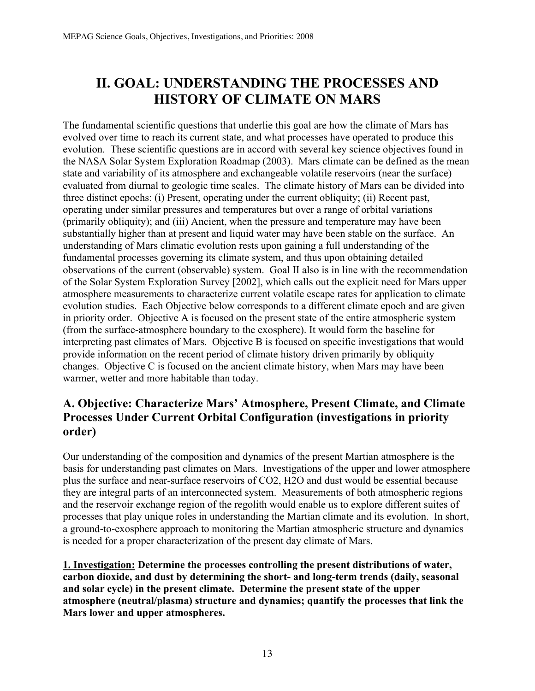# **II. GOAL: UNDERSTANDING THE PROCESSES AND HISTORY OF CLIMATE ON MARS**

The fundamental scientific questions that underlie this goal are how the climate of Mars has evolved over time to reach its current state, and what processes have operated to produce this evolution. These scientific questions are in accord with several key science objectives found in the NASA Solar System Exploration Roadmap (2003). Mars climate can be defined as the mean state and variability of its atmosphere and exchangeable volatile reservoirs (near the surface) evaluated from diurnal to geologic time scales. The climate history of Mars can be divided into three distinct epochs: (i) Present, operating under the current obliquity; (ii) Recent past, operating under similar pressures and temperatures but over a range of orbital variations (primarily obliquity); and (iii) Ancient, when the pressure and temperature may have been substantially higher than at present and liquid water may have been stable on the surface. An understanding of Mars climatic evolution rests upon gaining a full understanding of the fundamental processes governing its climate system, and thus upon obtaining detailed observations of the current (observable) system. Goal II also is in line with the recommendation of the Solar System Exploration Survey [2002], which calls out the explicit need for Mars upper atmosphere measurements to characterize current volatile escape rates for application to climate evolution studies. Each Objective below corresponds to a different climate epoch and are given in priority order. Objective A is focused on the present state of the entire atmospheric system (from the surface-atmosphere boundary to the exosphere). It would form the baseline for interpreting past climates of Mars. Objective B is focused on specific investigations that would provide information on the recent period of climate history driven primarily by obliquity changes. Objective C is focused on the ancient climate history, when Mars may have been warmer, wetter and more habitable than today.

# **A. Objective: Characterize Mars' Atmosphere, Present Climate, and Climate Processes Under Current Orbital Configuration (investigations in priority order)**

Our understanding of the composition and dynamics of the present Martian atmosphere is the basis for understanding past climates on Mars. Investigations of the upper and lower atmosphere plus the surface and near-surface reservoirs of CO2, H2O and dust would be essential because they are integral parts of an interconnected system. Measurements of both atmospheric regions and the reservoir exchange region of the regolith would enable us to explore different suites of processes that play unique roles in understanding the Martian climate and its evolution. In short, a ground-to-exosphere approach to monitoring the Martian atmospheric structure and dynamics is needed for a proper characterization of the present day climate of Mars.

**1. Investigation: Determine the processes controlling the present distributions of water, carbon dioxide, and dust by determining the short- and long-term trends (daily, seasonal and solar cycle) in the present climate. Determine the present state of the upper atmosphere (neutral/plasma) structure and dynamics; quantify the processes that link the Mars lower and upper atmospheres.**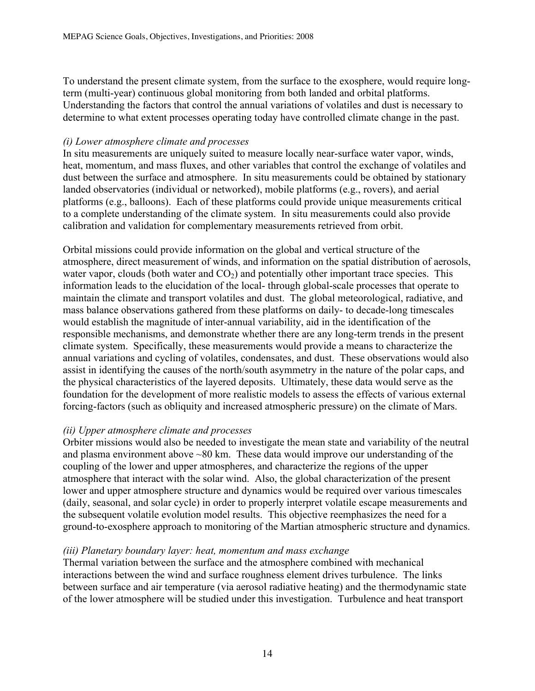To understand the present climate system, from the surface to the exosphere, would require longterm (multi-year) continuous global monitoring from both landed and orbital platforms. Understanding the factors that control the annual variations of volatiles and dust is necessary to determine to what extent processes operating today have controlled climate change in the past.

#### *(i) Lower atmosphere climate and processes*

In situ measurements are uniquely suited to measure locally near-surface water vapor, winds, heat, momentum, and mass fluxes, and other variables that control the exchange of volatiles and dust between the surface and atmosphere. In situ measurements could be obtained by stationary landed observatories (individual or networked), mobile platforms (e.g., rovers), and aerial platforms (e.g., balloons). Each of these platforms could provide unique measurements critical to a complete understanding of the climate system. In situ measurements could also provide calibration and validation for complementary measurements retrieved from orbit.

Orbital missions could provide information on the global and vertical structure of the atmosphere, direct measurement of winds, and information on the spatial distribution of aerosols, water vapor, clouds (both water and  $CO<sub>2</sub>$ ) and potentially other important trace species. This information leads to the elucidation of the local- through global-scale processes that operate to maintain the climate and transport volatiles and dust. The global meteorological, radiative, and mass balance observations gathered from these platforms on daily- to decade-long timescales would establish the magnitude of inter-annual variability, aid in the identification of the responsible mechanisms, and demonstrate whether there are any long-term trends in the present climate system. Specifically, these measurements would provide a means to characterize the annual variations and cycling of volatiles, condensates, and dust. These observations would also assist in identifying the causes of the north/south asymmetry in the nature of the polar caps, and the physical characteristics of the layered deposits. Ultimately, these data would serve as the foundation for the development of more realistic models to assess the effects of various external forcing-factors (such as obliquity and increased atmospheric pressure) on the climate of Mars.

#### *(ii) Upper atmosphere climate and processes*

Orbiter missions would also be needed to investigate the mean state and variability of the neutral and plasma environment above ~80 km. These data would improve our understanding of the coupling of the lower and upper atmospheres, and characterize the regions of the upper atmosphere that interact with the solar wind. Also, the global characterization of the present lower and upper atmosphere structure and dynamics would be required over various timescales (daily, seasonal, and solar cycle) in order to properly interpret volatile escape measurements and the subsequent volatile evolution model results. This objective reemphasizes the need for a ground-to-exosphere approach to monitoring of the Martian atmospheric structure and dynamics.

#### *(iii) Planetary boundary layer: heat, momentum and mass exchange*

Thermal variation between the surface and the atmosphere combined with mechanical interactions between the wind and surface roughness element drives turbulence. The links between surface and air temperature (via aerosol radiative heating) and the thermodynamic state of the lower atmosphere will be studied under this investigation. Turbulence and heat transport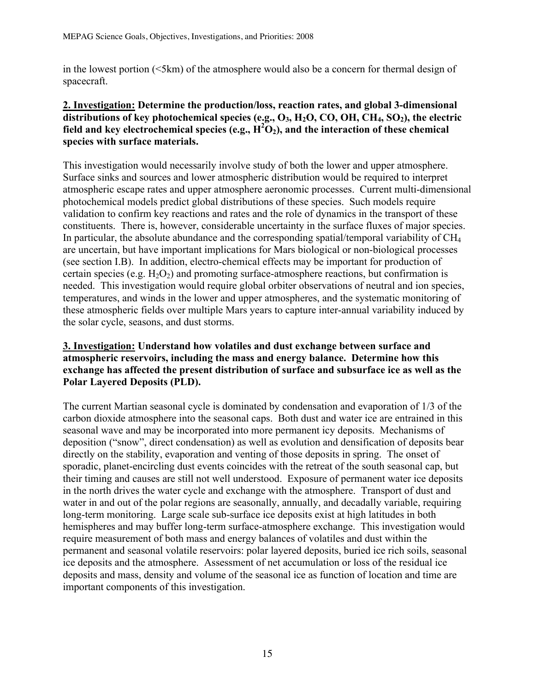in the lowest portion (<5km) of the atmosphere would also be a concern for thermal design of spacecraft.

#### **2. Investigation: Determine the production/loss, reaction rates, and global 3-dimensional**  distributions of key photochemical species (e.g., O<sub>3</sub>, H<sub>2</sub>O, CO, OH, CH<sub>4</sub>, SO<sub>2</sub>), the electric field and key electrochemical species (e.g.,  $\overline{H^2O_2}$ ), and the interaction of these chemical **species with surface materials.**

This investigation would necessarily involve study of both the lower and upper atmosphere. Surface sinks and sources and lower atmospheric distribution would be required to interpret atmospheric escape rates and upper atmosphere aeronomic processes. Current multi-dimensional photochemical models predict global distributions of these species. Such models require validation to confirm key reactions and rates and the role of dynamics in the transport of these constituents. There is, however, considerable uncertainty in the surface fluxes of major species. In particular, the absolute abundance and the corresponding spatial/temporal variability of CH4 are uncertain, but have important implications for Mars biological or non-biological processes (see section I.B). In addition, electro-chemical effects may be important for production of certain species (e.g.  $H_2O_2$ ) and promoting surface-atmosphere reactions, but confirmation is needed. This investigation would require global orbiter observations of neutral and ion species, temperatures, and winds in the lower and upper atmospheres, and the systematic monitoring of these atmospheric fields over multiple Mars years to capture inter-annual variability induced by the solar cycle, seasons, and dust storms.

#### **3. Investigation: Understand how volatiles and dust exchange between surface and atmospheric reservoirs, including the mass and energy balance. Determine how this exchange has affected the present distribution of surface and subsurface ice as well as the Polar Layered Deposits (PLD).**

The current Martian seasonal cycle is dominated by condensation and evaporation of 1/3 of the carbon dioxide atmosphere into the seasonal caps. Both dust and water ice are entrained in this seasonal wave and may be incorporated into more permanent icy deposits. Mechanisms of deposition ("snow", direct condensation) as well as evolution and densification of deposits bear directly on the stability, evaporation and venting of those deposits in spring. The onset of sporadic, planet-encircling dust events coincides with the retreat of the south seasonal cap, but their timing and causes are still not well understood. Exposure of permanent water ice deposits in the north drives the water cycle and exchange with the atmosphere. Transport of dust and water in and out of the polar regions are seasonally, annually, and decadally variable, requiring long-term monitoring. Large scale sub-surface ice deposits exist at high latitudes in both hemispheres and may buffer long-term surface-atmosphere exchange. This investigation would require measurement of both mass and energy balances of volatiles and dust within the permanent and seasonal volatile reservoirs: polar layered deposits, buried ice rich soils, seasonal ice deposits and the atmosphere. Assessment of net accumulation or loss of the residual ice deposits and mass, density and volume of the seasonal ice as function of location and time are important components of this investigation.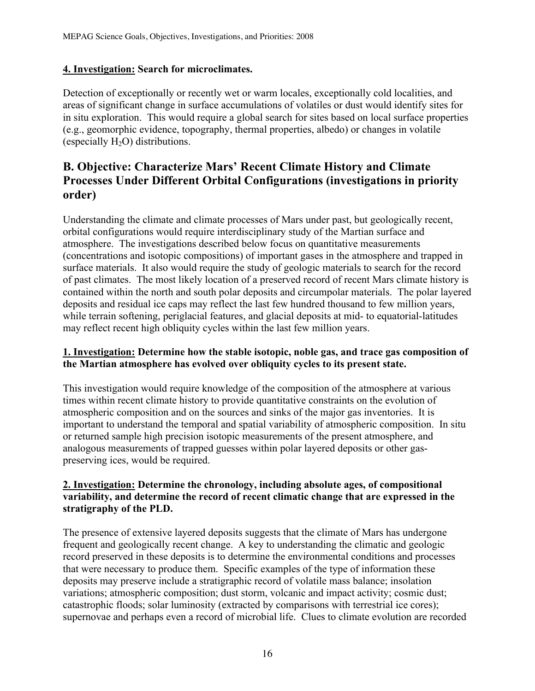#### **4. Investigation: Search for microclimates.**

Detection of exceptionally or recently wet or warm locales, exceptionally cold localities, and areas of significant change in surface accumulations of volatiles or dust would identify sites for in situ exploration. This would require a global search for sites based on local surface properties (e.g., geomorphic evidence, topography, thermal properties, albedo) or changes in volatile (especially  $H_2O$ ) distributions.

## **B. Objective: Characterize Mars' Recent Climate History and Climate Processes Under Different Orbital Configurations (investigations in priority order)**

Understanding the climate and climate processes of Mars under past, but geologically recent, orbital configurations would require interdisciplinary study of the Martian surface and atmosphere. The investigations described below focus on quantitative measurements (concentrations and isotopic compositions) of important gases in the atmosphere and trapped in surface materials. It also would require the study of geologic materials to search for the record of past climates. The most likely location of a preserved record of recent Mars climate history is contained within the north and south polar deposits and circumpolar materials. The polar layered deposits and residual ice caps may reflect the last few hundred thousand to few million years, while terrain softening, periglacial features, and glacial deposits at mid- to equatorial-latitudes may reflect recent high obliquity cycles within the last few million years.

#### **1. Investigation: Determine how the stable isotopic, noble gas, and trace gas composition of the Martian atmosphere has evolved over obliquity cycles to its present state.**

This investigation would require knowledge of the composition of the atmosphere at various times within recent climate history to provide quantitative constraints on the evolution of atmospheric composition and on the sources and sinks of the major gas inventories. It is important to understand the temporal and spatial variability of atmospheric composition. In situ or returned sample high precision isotopic measurements of the present atmosphere, and analogous measurements of trapped guesses within polar layered deposits or other gaspreserving ices, would be required.

#### **2. Investigation: Determine the chronology, including absolute ages, of compositional variability, and determine the record of recent climatic change that are expressed in the stratigraphy of the PLD.**

The presence of extensive layered deposits suggests that the climate of Mars has undergone frequent and geologically recent change. A key to understanding the climatic and geologic record preserved in these deposits is to determine the environmental conditions and processes that were necessary to produce them. Specific examples of the type of information these deposits may preserve include a stratigraphic record of volatile mass balance; insolation variations; atmospheric composition; dust storm, volcanic and impact activity; cosmic dust; catastrophic floods; solar luminosity (extracted by comparisons with terrestrial ice cores); supernovae and perhaps even a record of microbial life. Clues to climate evolution are recorded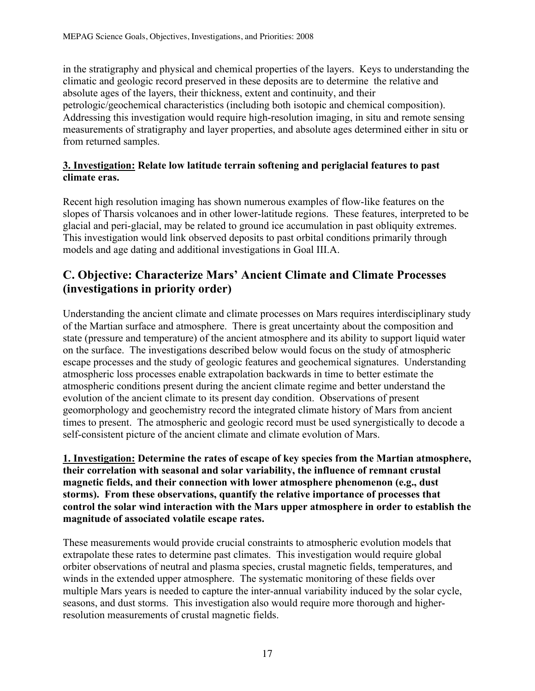in the stratigraphy and physical and chemical properties of the layers. Keys to understanding the climatic and geologic record preserved in these deposits are to determine the relative and absolute ages of the layers, their thickness, extent and continuity, and their petrologic/geochemical characteristics (including both isotopic and chemical composition). Addressing this investigation would require high-resolution imaging, in situ and remote sensing measurements of stratigraphy and layer properties, and absolute ages determined either in situ or from returned samples.

#### **3. Investigation: Relate low latitude terrain softening and periglacial features to past climate eras.**

Recent high resolution imaging has shown numerous examples of flow-like features on the slopes of Tharsis volcanoes and in other lower-latitude regions. These features, interpreted to be glacial and peri-glacial, may be related to ground ice accumulation in past obliquity extremes. This investigation would link observed deposits to past orbital conditions primarily through models and age dating and additional investigations in Goal III.A.

# **C. Objective: Characterize Mars' Ancient Climate and Climate Processes (investigations in priority order)**

Understanding the ancient climate and climate processes on Mars requires interdisciplinary study of the Martian surface and atmosphere. There is great uncertainty about the composition and state (pressure and temperature) of the ancient atmosphere and its ability to support liquid water on the surface. The investigations described below would focus on the study of atmospheric escape processes and the study of geologic features and geochemical signatures. Understanding atmospheric loss processes enable extrapolation backwards in time to better estimate the atmospheric conditions present during the ancient climate regime and better understand the evolution of the ancient climate to its present day condition. Observations of present geomorphology and geochemistry record the integrated climate history of Mars from ancient times to present. The atmospheric and geologic record must be used synergistically to decode a self-consistent picture of the ancient climate and climate evolution of Mars.

**1. Investigation: Determine the rates of escape of key species from the Martian atmosphere, their correlation with seasonal and solar variability, the influence of remnant crustal magnetic fields, and their connection with lower atmosphere phenomenon (e.g., dust storms). From these observations, quantify the relative importance of processes that control the solar wind interaction with the Mars upper atmosphere in order to establish the magnitude of associated volatile escape rates.** 

These measurements would provide crucial constraints to atmospheric evolution models that extrapolate these rates to determine past climates. This investigation would require global orbiter observations of neutral and plasma species, crustal magnetic fields, temperatures, and winds in the extended upper atmosphere. The systematic monitoring of these fields over multiple Mars years is needed to capture the inter-annual variability induced by the solar cycle, seasons, and dust storms. This investigation also would require more thorough and higherresolution measurements of crustal magnetic fields.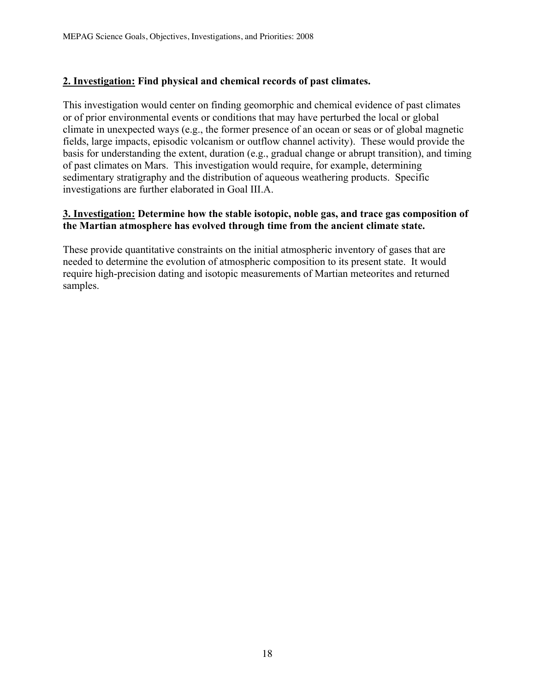#### **2. Investigation: Find physical and chemical records of past climates.**

This investigation would center on finding geomorphic and chemical evidence of past climates or of prior environmental events or conditions that may have perturbed the local or global climate in unexpected ways (e.g., the former presence of an ocean or seas or of global magnetic fields, large impacts, episodic volcanism or outflow channel activity). These would provide the basis for understanding the extent, duration (e.g., gradual change or abrupt transition), and timing of past climates on Mars. This investigation would require, for example, determining sedimentary stratigraphy and the distribution of aqueous weathering products. Specific investigations are further elaborated in Goal III.A.

#### **3. Investigation: Determine how the stable isotopic, noble gas, and trace gas composition of the Martian atmosphere has evolved through time from the ancient climate state.**

These provide quantitative constraints on the initial atmospheric inventory of gases that are needed to determine the evolution of atmospheric composition to its present state. It would require high-precision dating and isotopic measurements of Martian meteorites and returned samples.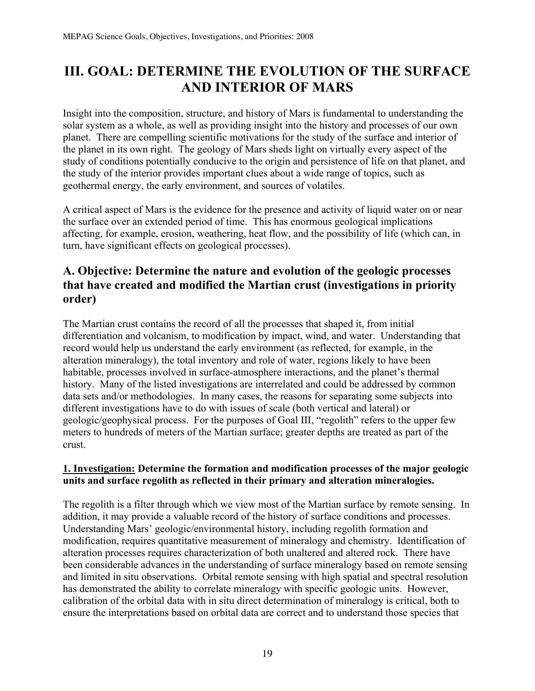# **III. GOAL: DETERMINE THE EVOLUTION OF THE SURFACE AND INTERIOR OF MARS**

Insight into the composition, structure, and history of Mars is fundamental to understanding the solar system as a whole, as well as providing insight into the history and processes of our own planet. There are compelling scientific motivations for the study of the surface and interior of the planet in its own right. The geology of Mars sheds light on virtually every aspect of the study of conditions potentially conducive to the origin and persistence of life on that planet, and the study of the interior provides important clues about a wide range of topics, such as geothermal energy, the early environment, and sources of volatiles.

A critical aspect of Mars is the evidence for the presence and activity of liquid water on or near the surface over an extended period of time. This has enormous geological implications affecting, for example, erosion, weathering, heat flow, and the possibility of life (which can, in turn, have significant effects on geological processes).

## **A. Objective: Determine the nature and evolution of the geologic processes that have created and modified the Martian crust (investigations in priority order)**

The Martian crust contains the record of all the processes that shaped it, from initial differentiation and volcanism, to modification by impact, wind, and water. Understanding that record would help us understand the early environment (as reflected, for example, in the alteration mineralogy), the total inventory and role of water, regions likely to have been habitable, processes involved in surface-atmosphere interactions, and the planet's thermal history. Many of the listed investigations are interrelated and could be addressed by common data sets and/or methodologies. In many cases, the reasons for separating some subjects into different investigations have to do with issues of scale (both vertical and lateral) or geologic/geophysical process. For the purposes of Goal III, "regolith" refers to the upper few meters to hundreds of meters of the Martian surface; greater depths are treated as part of the crust.

#### **1. Investigation: Determine the formation and modification processes of the major geologic units and surface regolith as reflected in their primary and alteration mineralogies.**

The regolith is a filter through which we view most of the Martian surface by remote sensing. In addition, it may provide a valuable record of the history of surface conditions and processes. Understanding Mars' geologic/environmental history, including regolith formation and modification, requires quantitative measurement of mineralogy and chemistry. Identification of alteration processes requires characterization of both unaltered and altered rock. There have been considerable advances in the understanding of surface mineralogy based on remote sensing and limited in situ observations. Orbital remote sensing with high spatial and spectral resolution has demonstrated the ability to correlate mineralogy with specific geologic units. However, calibration of the orbital data with in situ direct determination of mineralogy is critical, both to ensure the interpretations based on orbital data are correct and to understand those species that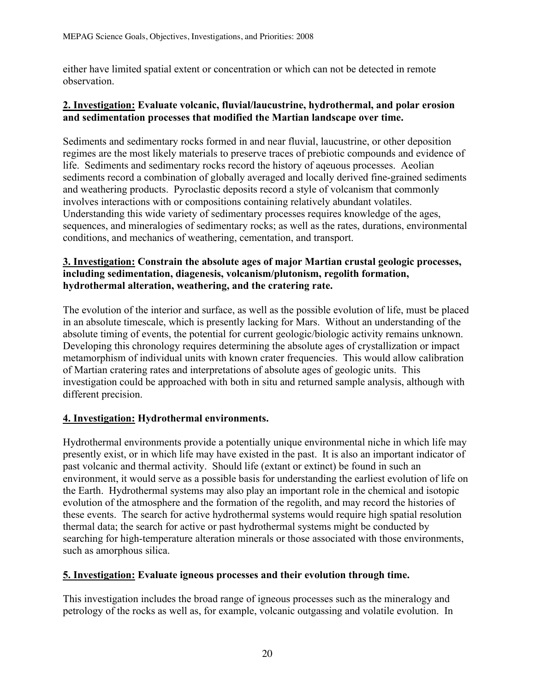either have limited spatial extent or concentration or which can not be detected in remote observation.

#### **2. Investigation: Evaluate volcanic, fluvial/laucustrine, hydrothermal, and polar erosion and sedimentation processes that modified the Martian landscape over time.**

Sediments and sedimentary rocks formed in and near fluvial, laucustrine, or other deposition regimes are the most likely materials to preserve traces of prebiotic compounds and evidence of life. Sediments and sedimentary rocks record the history of aqeuous processes. Aeolian sediments record a combination of globally averaged and locally derived fine-grained sediments and weathering products. Pyroclastic deposits record a style of volcanism that commonly involves interactions with or compositions containing relatively abundant volatiles. Understanding this wide variety of sedimentary processes requires knowledge of the ages, sequences, and mineralogies of sedimentary rocks; as well as the rates, durations, environmental conditions, and mechanics of weathering, cementation, and transport.

#### **3. Investigation: Constrain the absolute ages of major Martian crustal geologic processes, including sedimentation, diagenesis, volcanism/plutonism, regolith formation, hydrothermal alteration, weathering, and the cratering rate.**

The evolution of the interior and surface, as well as the possible evolution of life, must be placed in an absolute timescale, which is presently lacking for Mars. Without an understanding of the absolute timing of events, the potential for current geologic/biologic activity remains unknown. Developing this chronology requires determining the absolute ages of crystallization or impact metamorphism of individual units with known crater frequencies. This would allow calibration of Martian cratering rates and interpretations of absolute ages of geologic units. This investigation could be approached with both in situ and returned sample analysis, although with different precision.

#### **4. Investigation: Hydrothermal environments.**

Hydrothermal environments provide a potentially unique environmental niche in which life may presently exist, or in which life may have existed in the past. It is also an important indicator of past volcanic and thermal activity. Should life (extant or extinct) be found in such an environment, it would serve as a possible basis for understanding the earliest evolution of life on the Earth. Hydrothermal systems may also play an important role in the chemical and isotopic evolution of the atmosphere and the formation of the regolith, and may record the histories of these events. The search for active hydrothermal systems would require high spatial resolution thermal data; the search for active or past hydrothermal systems might be conducted by searching for high-temperature alteration minerals or those associated with those environments, such as amorphous silica.

#### **5. Investigation: Evaluate igneous processes and their evolution through time.**

This investigation includes the broad range of igneous processes such as the mineralogy and petrology of the rocks as well as, for example, volcanic outgassing and volatile evolution. In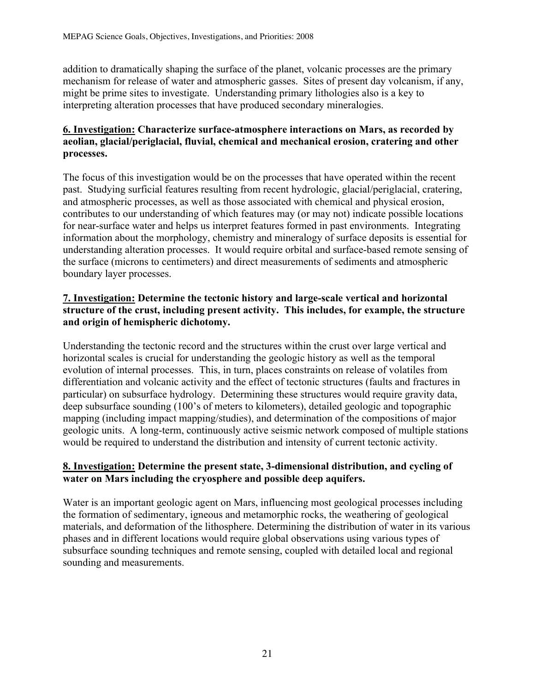addition to dramatically shaping the surface of the planet, volcanic processes are the primary mechanism for release of water and atmospheric gasses. Sites of present day volcanism, if any, might be prime sites to investigate. Understanding primary lithologies also is a key to interpreting alteration processes that have produced secondary mineralogies.

#### **6. Investigation: Characterize surface-atmosphere interactions on Mars, as recorded by aeolian, glacial/periglacial, fluvial, chemical and mechanical erosion, cratering and other processes.**

The focus of this investigation would be on the processes that have operated within the recent past. Studying surficial features resulting from recent hydrologic, glacial/periglacial, cratering, and atmospheric processes, as well as those associated with chemical and physical erosion, contributes to our understanding of which features may (or may not) indicate possible locations for near-surface water and helps us interpret features formed in past environments. Integrating information about the morphology, chemistry and mineralogy of surface deposits is essential for understanding alteration processes. It would require orbital and surface-based remote sensing of the surface (microns to centimeters) and direct measurements of sediments and atmospheric boundary layer processes.

#### **7. Investigation: Determine the tectonic history and large-scale vertical and horizontal structure of the crust, including present activity. This includes, for example, the structure and origin of hemispheric dichotomy.**

Understanding the tectonic record and the structures within the crust over large vertical and horizontal scales is crucial for understanding the geologic history as well as the temporal evolution of internal processes. This, in turn, places constraints on release of volatiles from differentiation and volcanic activity and the effect of tectonic structures (faults and fractures in particular) on subsurface hydrology. Determining these structures would require gravity data, deep subsurface sounding (100's of meters to kilometers), detailed geologic and topographic mapping (including impact mapping/studies), and determination of the compositions of major geologic units. A long-term, continuously active seismic network composed of multiple stations would be required to understand the distribution and intensity of current tectonic activity.

#### **8. Investigation: Determine the present state, 3-dimensional distribution, and cycling of water on Mars including the cryosphere and possible deep aquifers.**

Water is an important geologic agent on Mars, influencing most geological processes including the formation of sedimentary, igneous and metamorphic rocks, the weathering of geological materials, and deformation of the lithosphere. Determining the distribution of water in its various phases and in different locations would require global observations using various types of subsurface sounding techniques and remote sensing, coupled with detailed local and regional sounding and measurements.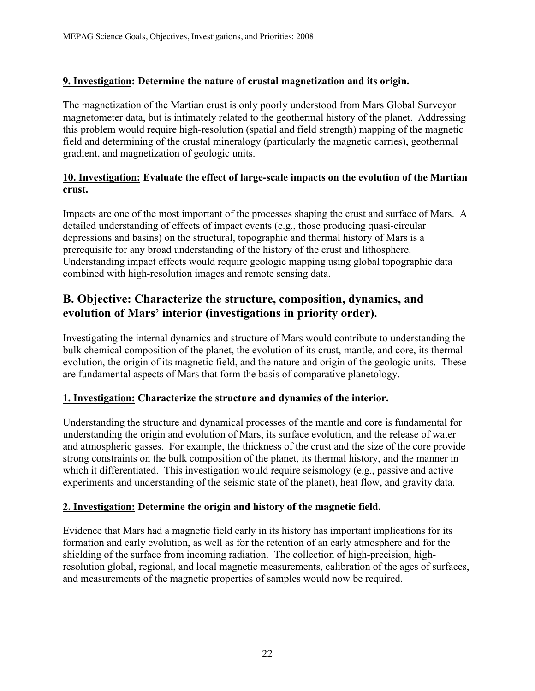#### **9. Investigation: Determine the nature of crustal magnetization and its origin.**

The magnetization of the Martian crust is only poorly understood from Mars Global Surveyor magnetometer data, but is intimately related to the geothermal history of the planet. Addressing this problem would require high-resolution (spatial and field strength) mapping of the magnetic field and determining of the crustal mineralogy (particularly the magnetic carries), geothermal gradient, and magnetization of geologic units.

#### **10. Investigation: Evaluate the effect of large-scale impacts on the evolution of the Martian crust.**

Impacts are one of the most important of the processes shaping the crust and surface of Mars. A detailed understanding of effects of impact events (e.g., those producing quasi-circular depressions and basins) on the structural, topographic and thermal history of Mars is a prerequisite for any broad understanding of the history of the crust and lithosphere. Understanding impact effects would require geologic mapping using global topographic data combined with high-resolution images and remote sensing data.

### **B. Objective: Characterize the structure, composition, dynamics, and evolution of Mars' interior (investigations in priority order).**

Investigating the internal dynamics and structure of Mars would contribute to understanding the bulk chemical composition of the planet, the evolution of its crust, mantle, and core, its thermal evolution, the origin of its magnetic field, and the nature and origin of the geologic units. These are fundamental aspects of Mars that form the basis of comparative planetology.

#### **1. Investigation: Characterize the structure and dynamics of the interior.**

Understanding the structure and dynamical processes of the mantle and core is fundamental for understanding the origin and evolution of Mars, its surface evolution, and the release of water and atmospheric gasses. For example, the thickness of the crust and the size of the core provide strong constraints on the bulk composition of the planet, its thermal history, and the manner in which it differentiated. This investigation would require seismology (e.g., passive and active experiments and understanding of the seismic state of the planet), heat flow, and gravity data.

#### **2. Investigation: Determine the origin and history of the magnetic field.**

Evidence that Mars had a magnetic field early in its history has important implications for its formation and early evolution, as well as for the retention of an early atmosphere and for the shielding of the surface from incoming radiation. The collection of high-precision, highresolution global, regional, and local magnetic measurements, calibration of the ages of surfaces, and measurements of the magnetic properties of samples would now be required.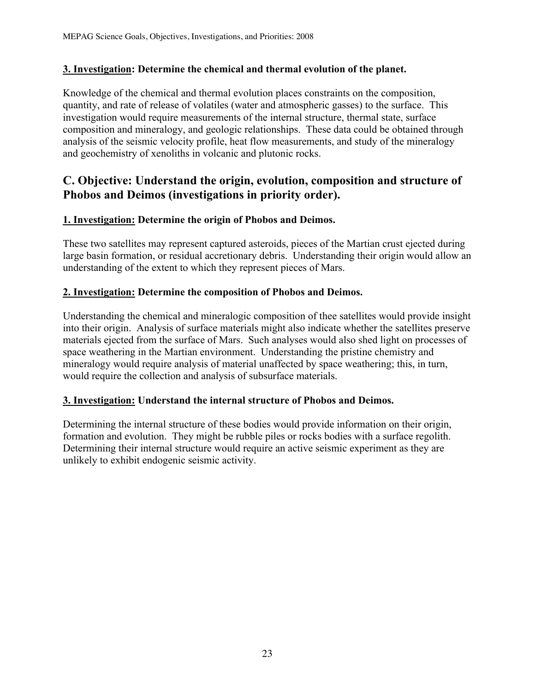#### **3. Investigation: Determine the chemical and thermal evolution of the planet.**

Knowledge of the chemical and thermal evolution places constraints on the composition, quantity, and rate of release of volatiles (water and atmospheric gasses) to the surface. This investigation would require measurements of the internal structure, thermal state, surface composition and mineralogy, and geologic relationships. These data could be obtained through analysis of the seismic velocity profile, heat flow measurements, and study of the mineralogy and geochemistry of xenoliths in volcanic and plutonic rocks.

## **C. Objective: Understand the origin, evolution, composition and structure of Phobos and Deimos (investigations in priority order).**

#### **1. Investigation: Determine the origin of Phobos and Deimos.**

These two satellites may represent captured asteroids, pieces of the Martian crust ejected during large basin formation, or residual accretionary debris. Understanding their origin would allow an understanding of the extent to which they represent pieces of Mars.

#### **2. Investigation: Determine the composition of Phobos and Deimos.**

Understanding the chemical and mineralogic composition of thee satellites would provide insight into their origin. Analysis of surface materials might also indicate whether the satellites preserve materials ejected from the surface of Mars. Such analyses would also shed light on processes of space weathering in the Martian environment. Understanding the pristine chemistry and mineralogy would require analysis of material unaffected by space weathering; this, in turn, would require the collection and analysis of subsurface materials.

#### **3. Investigation: Understand the internal structure of Phobos and Deimos.**

Determining the internal structure of these bodies would provide information on their origin, formation and evolution. They might be rubble piles or rocks bodies with a surface regolith. Determining their internal structure would require an active seismic experiment as they are unlikely to exhibit endogenic seismic activity.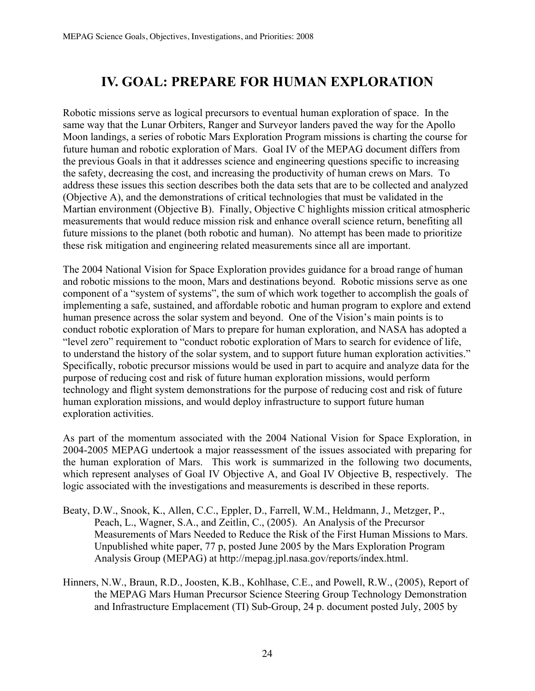# **IV. GOAL: PREPARE FOR HUMAN EXPLORATION**

Robotic missions serve as logical precursors to eventual human exploration of space. In the same way that the Lunar Orbiters, Ranger and Surveyor landers paved the way for the Apollo Moon landings, a series of robotic Mars Exploration Program missions is charting the course for future human and robotic exploration of Mars. Goal IV of the MEPAG document differs from the previous Goals in that it addresses science and engineering questions specific to increasing the safety, decreasing the cost, and increasing the productivity of human crews on Mars. To address these issues this section describes both the data sets that are to be collected and analyzed (Objective A), and the demonstrations of critical technologies that must be validated in the Martian environment (Objective B). Finally, Objective C highlights mission critical atmospheric measurements that would reduce mission risk and enhance overall science return, benefiting all future missions to the planet (both robotic and human). No attempt has been made to prioritize these risk mitigation and engineering related measurements since all are important.

The 2004 National Vision for Space Exploration provides guidance for a broad range of human and robotic missions to the moon, Mars and destinations beyond. Robotic missions serve as one component of a "system of systems", the sum of which work together to accomplish the goals of implementing a safe, sustained, and affordable robotic and human program to explore and extend human presence across the solar system and beyond. One of the Vision's main points is to conduct robotic exploration of Mars to prepare for human exploration, and NASA has adopted a "level zero" requirement to "conduct robotic exploration of Mars to search for evidence of life, to understand the history of the solar system, and to support future human exploration activities." Specifically, robotic precursor missions would be used in part to acquire and analyze data for the purpose of reducing cost and risk of future human exploration missions, would perform technology and flight system demonstrations for the purpose of reducing cost and risk of future human exploration missions, and would deploy infrastructure to support future human exploration activities.

As part of the momentum associated with the 2004 National Vision for Space Exploration, in 2004-2005 MEPAG undertook a major reassessment of the issues associated with preparing for the human exploration of Mars. This work is summarized in the following two documents, which represent analyses of Goal IV Objective A, and Goal IV Objective B, respectively. The logic associated with the investigations and measurements is described in these reports.

- Beaty, D.W., Snook, K., Allen, C.C., Eppler, D., Farrell, W.M., Heldmann, J., Metzger, P., Peach, L., Wagner, S.A., and Zeitlin, C., (2005). An Analysis of the Precursor Measurements of Mars Needed to Reduce the Risk of the First Human Missions to Mars. Unpublished white paper, 77 p, posted June 2005 by the Mars Exploration Program Analysis Group (MEPAG) at http://mepag.jpl.nasa.gov/reports/index.html.
- Hinners, N.W., Braun, R.D., Joosten, K.B., Kohlhase, C.E., and Powell, R.W., (2005), Report of the MEPAG Mars Human Precursor Science Steering Group Technology Demonstration and Infrastructure Emplacement (TI) Sub-Group, 24 p. document posted July, 2005 by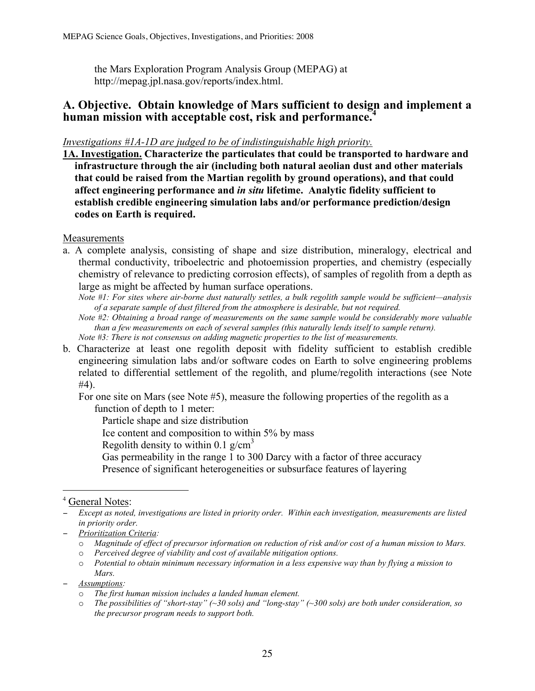the Mars Exploration Program Analysis Group (MEPAG) at http://mepag.jpl.nasa.gov/reports/index.html.

### **A. Objective. Obtain knowledge of Mars sufficient to design and implement a human mission with acceptable cost, risk and performance.<sup>4</sup>**

#### *Investigations #1A-1D are judged to be of indistinguishable high priority.*

**1A. Investigation. Characterize the particulates that could be transported to hardware and infrastructure through the air (including both natural aeolian dust and other materials that could be raised from the Martian regolith by ground operations), and that could affect engineering performance and** *in situ* **lifetime. Analytic fidelity sufficient to establish credible engineering simulation labs and/or performance prediction/design codes on Earth is required.**

Measurements

a. A complete analysis, consisting of shape and size distribution, mineralogy, electrical and thermal conductivity, triboelectric and photoemission properties, and chemistry (especially chemistry of relevance to predicting corrosion effects), of samples of regolith from a depth as large as might be affected by human surface operations.

*Note #1: For sites where air-borne dust naturally settles, a bulk regolith sample would be sufficient—analysis of a separate sample of dust filtered from the atmosphere is desirable, but not required.*

- *Note #2: Obtaining a broad range of measurements on the same sample would be considerably more valuable than a few measurements on each of several samples (this naturally lends itself to sample return). Note #3: There is not consensus on adding magnetic properties to the list of measurements.*
- b. Characterize at least one regolith deposit with fidelity sufficient to establish credible engineering simulation labs and/or software codes on Earth to solve engineering problems related to differential settlement of the regolith, and plume/regolith interactions (see Note #4).

For one site on Mars (see Note #5), measure the following properties of the regolith as a function of depth to 1 meter:

Particle shape and size distribution

Ice content and composition to within 5% by mass

Regolith density to within 0.1  $g/cm<sup>3</sup>$ 

Gas permeability in the range 1 to 300 Darcy with a factor of three accuracy Presence of significant heterogeneities or subsurface features of layering

<sup>&</sup>lt;sup>4</sup> General Notes:

<sup>−</sup> *Except as noted, investigations are listed in priority order. Within each investigation, measurements are listed in priority order.*

<sup>−</sup> *Prioritization Criteria:* 

o *Magnitude of effect of precursor information on reduction of risk and/or cost of a human mission to Mars.* 

o *Perceived degree of viability and cost of available mitigation options.*

o *Potential to obtain minimum necessary information in a less expensive way than by flying a mission to Mars.*

<sup>−</sup> *Assumptions:* 

o *The first human mission includes a landed human element.*

o *The possibilities of "short-stay" (~30 sols) and "long-stay" (~300 sols) are both under consideration, so the precursor program needs to support both.*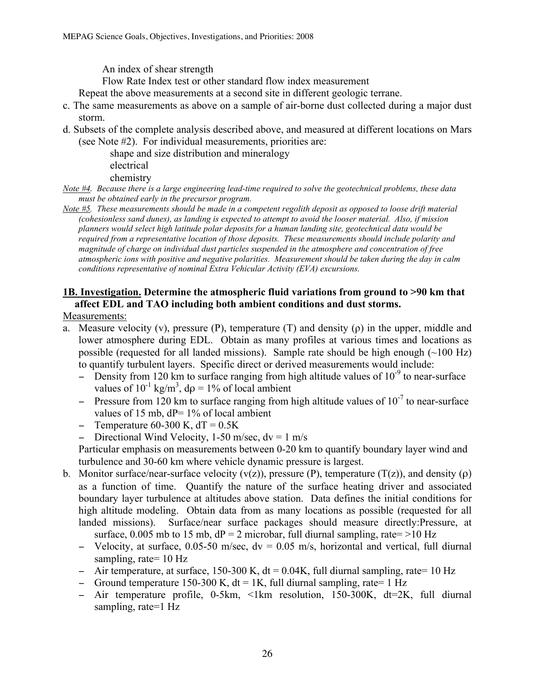An index of shear strength

Flow Rate Index test or other standard flow index measurement

Repeat the above measurements at a second site in different geologic terrane.

- c. The same measurements as above on a sample of air-borne dust collected during a major dust storm.
- d. Subsets of the complete analysis described above, and measured at different locations on Mars (see Note #2). For individual measurements, priorities are:

shape and size distribution and mineralogy electrical chemistry

*Note #4. Because there is a large engineering lead-time required to solve the geotechnical problems, these data must be obtained early in the precursor program.*

*Note #5. These measurements should be made in a competent regolith deposit as opposed to loose drift material (cohesionless sand dunes), as landing is expected to attempt to avoid the looser material. Also, if mission planners would select high latitude polar deposits for a human landing site, geotechnical data would be required from a representative location of those deposits. These measurements should include polarity and magnitude of charge on individual dust particles suspended in the atmosphere and concentration of free atmospheric ions with positive and negative polarities. Measurement should be taken during the day in calm conditions representative of nominal Extra Vehicular Activity (EVA) excursions.* 

#### **1B. Investigation. Determine the atmospheric fluid variations from ground to >90 km that affect EDL and TAO including both ambient conditions and dust storms.**

#### Measurements:

- a. Measure velocity (v), pressure (P), temperature (T) and density (ρ) in the upper, middle and lower atmosphere during EDL. Obtain as many profiles at various times and locations as possible (requested for all landed missions). Sample rate should be high enough  $(\sim 100 \text{ Hz})$ to quantify turbulent layers. Specific direct or derived measurements would include:
	- − Density from 120 km to surface ranging from high altitude values of 10<sup>-9</sup> to near-surface values of  $10^{-1}$  kg/m<sup>3</sup>, d $\rho = 1\%$  of local ambient
	- $-$  Pressure from 120 km to surface ranging from high altitude values of 10<sup>-7</sup> to near-surface values of 15 mb,  $dP = 1\%$  of local ambient
	- $\text{-}$  Temperature 60-300 K, dT = 0.5K
	- − Directional Wind Velocity, 1-50 m/sec, dv = 1 m/s

Particular emphasis on measurements between 0-20 km to quantify boundary layer wind and turbulence and 30-60 km where vehicle dynamic pressure is largest.

- b. Monitor surface/near-surface velocity (v(z)), pressure (P), temperature (T(z)), and density ( $\rho$ ) as a function of time. Quantify the nature of the surface heating driver and associated boundary layer turbulence at altitudes above station. Data defines the initial conditions for high altitude modeling. Obtain data from as many locations as possible (requested for all landed missions). Surface/near surface packages should measure directly:Pressure, at surface, 0.005 mb to 15 mb,  $dP = 2$  microbar, full diurnal sampling, rate = >10 Hz
	- − Velocity, at surface, 0.05-50 m/sec, dv = 0.05 m/s, horizontal and vertical, full diurnal sampling, rate= 10 Hz
	- − Air temperature, at surface, 150-300 K, dt = 0.04K, full diurnal sampling, rate= 10 Hz
	- − Ground temperature 150-300 K, dt = 1K, full diurnal sampling, rate= 1 Hz
	- − Air temperature profile, 0-5km, <1km resolution, 150-300K, dt=2K, full diurnal sampling, rate=1 Hz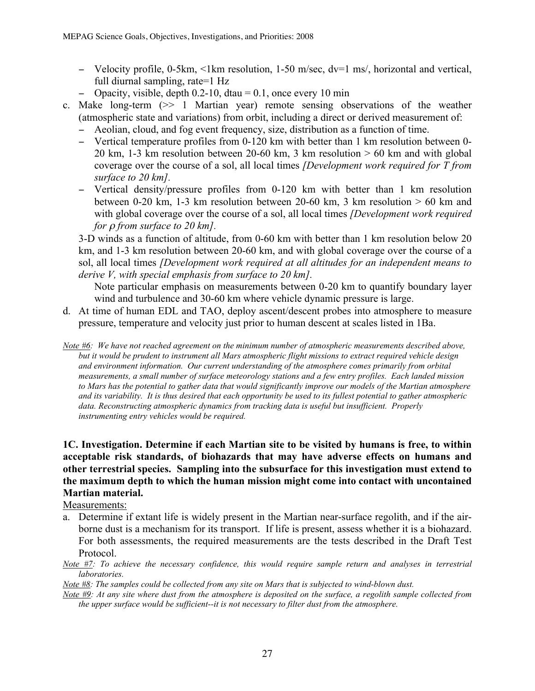- − Velocity profile, 0-5km, <1km resolution, 1-50 m/sec, dv=1 ms/, horizontal and vertical, full diurnal sampling, rate=1 Hz
- − Opacity, visible, depth 0.2-10, dtau = 0.1, once every 10 min
- c. Make long-term (>> 1 Martian year) remote sensing observations of the weather (atmospheric state and variations) from orbit, including a direct or derived measurement of:
	- − Aeolian, cloud, and fog event frequency, size, distribution as a function of time.
	- − Vertical temperature profiles from 0-120 km with better than 1 km resolution between 0- 20 km, 1-3 km resolution between 20-60 km, 3 km resolution  $> 60$  km and with global coverage over the course of a sol, all local times *[Development work required for T from surface to 20 km].*
	- − Vertical density/pressure profiles from 0-120 km with better than 1 km resolution between 0-20 km, 1-3 km resolution between 20-60 km, 3 km resolution  $> 60$  km and with global coverage over the course of a sol, all local times *[Development work required for* ρ *from surface to 20 km].*

3-D winds as a function of altitude, from 0-60 km with better than 1 km resolution below 20 km, and 1-3 km resolution between 20-60 km, and with global coverage over the course of a sol, all local times *[Development work required at all altitudes for an independent means to derive V, with special emphasis from surface to 20 km].*

Note particular emphasis on measurements between 0-20 km to quantify boundary layer wind and turbulence and 30-60 km where vehicle dynamic pressure is large.

- d. At time of human EDL and TAO, deploy ascent/descent probes into atmosphere to measure pressure, temperature and velocity just prior to human descent at scales listed in 1Ba.
- *Note #6: We have not reached agreement on the minimum number of atmospheric measurements described above, but it would be prudent to instrument all Mars atmospheric flight missions to extract required vehicle design and environment information. Our current understanding of the atmosphere comes primarily from orbital measurements, a small number of surface meteorology stations and a few entry profiles. Each landed mission to Mars has the potential to gather data that would significantly improve our models of the Martian atmosphere and its variability. It is thus desired that each opportunity be used to its fullest potential to gather atmospheric data. Reconstructing atmospheric dynamics from tracking data is useful but insufficient. Properly instrumenting entry vehicles would be required.*

#### **1C. Investigation. Determine if each Martian site to be visited by humans is free, to within acceptable risk standards, of biohazards that may have adverse effects on humans and other terrestrial species. Sampling into the subsurface for this investigation must extend to the maximum depth to which the human mission might come into contact with uncontained Martian material.**

#### Measurements:

- a. Determine if extant life is widely present in the Martian near-surface regolith, and if the airborne dust is a mechanism for its transport. If life is present, assess whether it is a biohazard. For both assessments, the required measurements are the tests described in the Draft Test Protocol.
- *Note #7: To achieve the necessary confidence, this would require sample return and analyses in terrestrial laboratories.*
- *Note #8: The samples could be collected from any site on Mars that is subjected to wind-blown dust.*
- *Note #9: At any site where dust from the atmosphere is deposited on the surface, a regolith sample collected from the upper surface would be sufficient--it is not necessary to filter dust from the atmosphere.*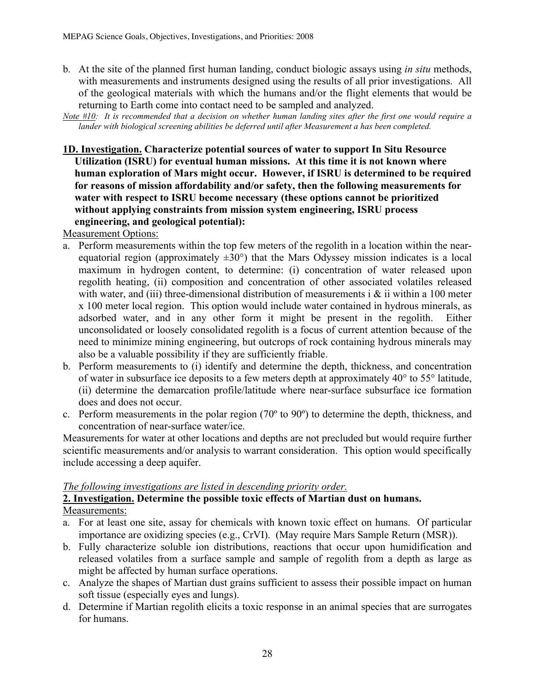b. At the site of the planned first human landing, conduct biologic assays using *in situ* methods, with measurements and instruments designed using the results of all prior investigations. All of the geological materials with which the humans and/or the flight elements that would be returning to Earth come into contact need to be sampled and analyzed.

*Note #10: It is recommended that a decision on whether human landing sites after the first one would require a lander with biological screening abilities be deferred until after Measurement a has been completed.*

**1D. Investigation. Characterize potential sources of water to support In Situ Resource Utilization (ISRU) for eventual human missions. At this time it is not known where human exploration of Mars might occur. However, if ISRU is determined to be required for reasons of mission affordability and/or safety, then the following measurements for water with respect to ISRU become necessary (these options cannot be prioritized without applying constraints from mission system engineering, ISRU process engineering, and geological potential):**

Measurement Options:

- a. Perform measurements within the top few meters of the regolith in a location within the nearequatorial region (approximately  $\pm 30^{\circ}$ ) that the Mars Odyssey mission indicates is a local maximum in hydrogen content, to determine: (i) concentration of water released upon regolith heating, (ii) composition and concentration of other associated volatiles released with water, and (iii) three-dimensional distribution of measurements i  $\&$  ii within a 100 meter x 100 meter local region. This option would include water contained in hydrous minerals, as adsorbed water, and in any other form it might be present in the regolith. Either unconsolidated or loosely consolidated regolith is a focus of current attention because of the need to minimize mining engineering, but outcrops of rock containing hydrous minerals may also be a valuable possibility if they are sufficiently friable.
- b. Perform measurements to (i) identify and determine the depth, thickness, and concentration of water in subsurface ice deposits to a few meters depth at approximately 40° to 55° latitude, (ii) determine the demarcation profile/latitude where near-surface subsurface ice formation does and does not occur.
- c. Perform measurements in the polar region (70º to 90º) to determine the depth, thickness, and concentration of near-surface water/ice.

Measurements for water at other locations and depths are not precluded but would require further scientific measurements and/or analysis to warrant consideration. This option would specifically include accessing a deep aquifer.

#### *The following investigations are listed in descending priority order.*

#### **2. Investigation. Determine the possible toxic effects of Martian dust on humans.**  Measurements:

- a. For at least one site, assay for chemicals with known toxic effect on humans. Of particular importance are oxidizing species (e.g., CrVI). (May require Mars Sample Return (MSR)).
- b. Fully characterize soluble ion distributions, reactions that occur upon humidification and released volatiles from a surface sample and sample of regolith from a depth as large as might be affected by human surface operations.
- c. Analyze the shapes of Martian dust grains sufficient to assess their possible impact on human soft tissue (especially eyes and lungs).
- d. Determine if Martian regolith elicits a toxic response in an animal species that are surrogates for humans.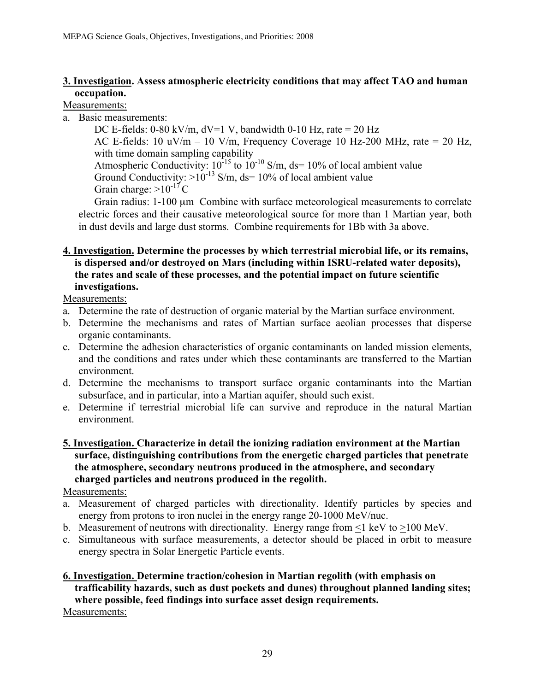#### **3. Investigation. Assess atmospheric electricity conditions that may affect TAO and human occupation.**

#### Measurements:

a. Basic measurements:

DC E-fields:  $0-80 \text{ kV/m}$ ,  $dV=1 \text{ V}$ , bandwidth  $0-10 \text{ Hz}$ , rate = 20 Hz AC E-fields: 10 uV/m – 10 V/m, Frequency Coverage 10 Hz-200 MHz, rate = 20 Hz, with time domain sampling capability Atmospheric Conductivity:  $10^{-15}$  to  $10^{-10}$  S/m, ds= 10% of local ambient value Ground Conductivity:  $>10^{-13}$  S/m, ds= 10% of local ambient value Grain charge:  $>10^{-17}$ C

Grain radius: 1-100 µm Combine with surface meteorological measurements to correlate electric forces and their causative meteorological source for more than 1 Martian year, both in dust devils and large dust storms. Combine requirements for 1Bb with 3a above.

#### **4. Investigation. Determine the processes by which terrestrial microbial life, or its remains, is dispersed and/or destroyed on Mars (including within ISRU-related water deposits), the rates and scale of these processes, and the potential impact on future scientific investigations.**

Measurements:

- a. Determine the rate of destruction of organic material by the Martian surface environment.
- b. Determine the mechanisms and rates of Martian surface aeolian processes that disperse organic contaminants.
- c. Determine the adhesion characteristics of organic contaminants on landed mission elements, and the conditions and rates under which these contaminants are transferred to the Martian environment.
- d. Determine the mechanisms to transport surface organic contaminants into the Martian subsurface, and in particular, into a Martian aquifer, should such exist.
- e. Determine if terrestrial microbial life can survive and reproduce in the natural Martian environment.
- **5. Investigation. Characterize in detail the ionizing radiation environment at the Martian surface, distinguishing contributions from the energetic charged particles that penetrate the atmosphere, secondary neutrons produced in the atmosphere, and secondary charged particles and neutrons produced in the regolith.**

Measurements:

- a. Measurement of charged particles with directionality. Identify particles by species and energy from protons to iron nuclei in the energy range 20-1000 MeV/nuc.
- b. Measurement of neutrons with directionality. Energy range from <1 keV to >100 MeV.
- c. Simultaneous with surface measurements, a detector should be placed in orbit to measure energy spectra in Solar Energetic Particle events.

#### **6. Investigation. Determine traction/cohesion in Martian regolith (with emphasis on trafficability hazards, such as dust pockets and dunes) throughout planned landing sites; where possible, feed findings into surface asset design requirements.** Measurements: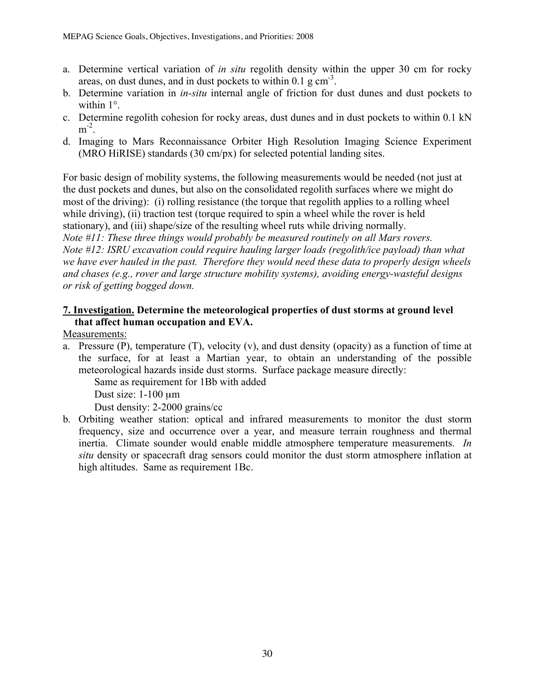- a. Determine vertical variation of *in situ* regolith density within the upper 30 cm for rocky areas, on dust dunes, and in dust pockets to within  $0.1 \text{ g cm}^{-3}$ .
- b. Determine variation in *in-situ* internal angle of friction for dust dunes and dust pockets to within 1°.
- c. Determine regolith cohesion for rocky areas, dust dunes and in dust pockets to within 0.1 kN  $m^2$ .
- d. Imaging to Mars Reconnaissance Orbiter High Resolution Imaging Science Experiment (MRO HiRISE) standards (30 cm/px) for selected potential landing sites.

For basic design of mobility systems, the following measurements would be needed (not just at the dust pockets and dunes, but also on the consolidated regolith surfaces where we might do most of the driving): (i) rolling resistance (the torque that regolith applies to a rolling wheel while driving), (ii) traction test (torque required to spin a wheel while the rover is held stationary), and (iii) shape/size of the resulting wheel ruts while driving normally. *Note #11: These three things would probably be measured routinely on all Mars rovers. Note #12: ISRU excavation could require hauling larger loads (regolith/ice payload) than what we have ever hauled in the past. Therefore they would need these data to properly design wheels and chases (e.g., rover and large structure mobility systems), avoiding energy-wasteful designs or risk of getting bogged down.*

#### **7. Investigation. Determine the meteorological properties of dust storms at ground level that affect human occupation and EVA.**

Measurements:

a. Pressure (P), temperature (T), velocity (v), and dust density (opacity) as a function of time at the surface, for at least a Martian year, to obtain an understanding of the possible meteorological hazards inside dust storms. Surface package measure directly:

Same as requirement for 1Bb with added

Dust size: 1-100 µm

Dust density: 2-2000 grains/cc

b. Orbiting weather station: optical and infrared measurements to monitor the dust storm frequency, size and occurrence over a year, and measure terrain roughness and thermal inertia. Climate sounder would enable middle atmosphere temperature measurements. *In situ* density or spacecraft drag sensors could monitor the dust storm atmosphere inflation at high altitudes. Same as requirement 1Bc.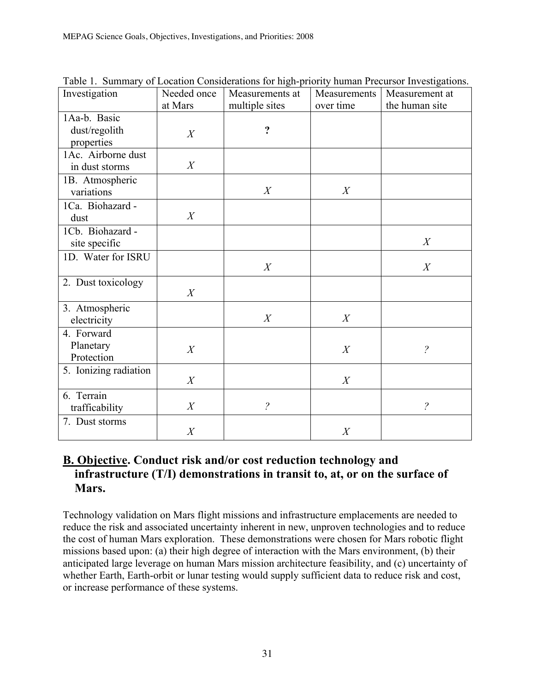| Investigation                               | Needed once | Measurements at       | Measurements | Measurement at        |
|---------------------------------------------|-------------|-----------------------|--------------|-----------------------|
|                                             | at Mars     | multiple sites        | over time    | the human site        |
| 1Aa-b. Basic<br>dust/regolith<br>properties | X           | $\ddot{\cdot}$        |              |                       |
| 1Ac. Airborne dust<br>in dust storms        | X           |                       |              |                       |
| 1B. Atmospheric<br>variations               |             | X                     | X            |                       |
| 1Ca. Biohazard -<br>dust                    | X           |                       |              |                       |
| 1Cb. Biohazard -<br>site specific           |             |                       |              | X                     |
| 1D. Water for ISRU                          |             | X                     |              | X                     |
| 2. Dust toxicology                          | X           |                       |              |                       |
| 3. Atmospheric<br>electricity               |             | X                     | X            |                       |
| 4. Forward<br>Planetary<br>Protection       | X           |                       | X            | $\tilde{\mathcal{C}}$ |
| 5. Ionizing radiation                       | X           |                       | X            |                       |
| 6. Terrain<br>trafficability                | X           | $\tilde{\mathcal{C}}$ |              | $\tilde{?}$           |
| 7. Dust storms                              | X           |                       | X            |                       |

Table 1. Summary of Location Considerations for high-priority human Precursor Investigations.

# **B. Objective. Conduct risk and/or cost reduction technology and infrastructure (T/I) demonstrations in transit to, at, or on the surface of Mars.**

Technology validation on Mars flight missions and infrastructure emplacements are needed to reduce the risk and associated uncertainty inherent in new, unproven technologies and to reduce the cost of human Mars exploration. These demonstrations were chosen for Mars robotic flight missions based upon: (a) their high degree of interaction with the Mars environment, (b) their anticipated large leverage on human Mars mission architecture feasibility, and (c) uncertainty of whether Earth, Earth-orbit or lunar testing would supply sufficient data to reduce risk and cost, or increase performance of these systems.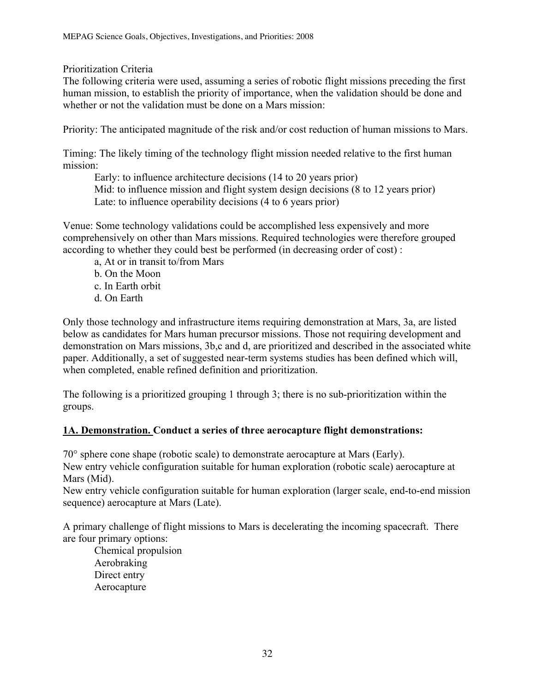Prioritization Criteria

The following criteria were used, assuming a series of robotic flight missions preceding the first human mission, to establish the priority of importance, when the validation should be done and whether or not the validation must be done on a Mars mission:

Priority: The anticipated magnitude of the risk and/or cost reduction of human missions to Mars.

Timing: The likely timing of the technology flight mission needed relative to the first human mission:

Early: to influence architecture decisions (14 to 20 years prior) Mid: to influence mission and flight system design decisions (8 to 12 years prior) Late: to influence operability decisions (4 to 6 years prior)

Venue: Some technology validations could be accomplished less expensively and more comprehensively on other than Mars missions. Required technologies were therefore grouped according to whether they could best be performed (in decreasing order of cost) :

- a, At or in transit to/from Mars
- b. On the Moon c. In Earth orbit
- d. On Earth

Only those technology and infrastructure items requiring demonstration at Mars, 3a, are listed below as candidates for Mars human precursor missions. Those not requiring development and demonstration on Mars missions, 3b,c and d, are prioritized and described in the associated white paper. Additionally, a set of suggested near-term systems studies has been defined which will, when completed, enable refined definition and prioritization.

The following is a prioritized grouping 1 through 3; there is no sub-prioritization within the groups.

#### **1A. Demonstration. Conduct a series of three aerocapture flight demonstrations:**

70° sphere cone shape (robotic scale) to demonstrate aerocapture at Mars (Early). New entry vehicle configuration suitable for human exploration (robotic scale) aerocapture at Mars (Mid).

New entry vehicle configuration suitable for human exploration (larger scale, end-to-end mission sequence) aerocapture at Mars (Late).

A primary challenge of flight missions to Mars is decelerating the incoming spacecraft. There are four primary options:

Chemical propulsion Aerobraking Direct entry Aerocapture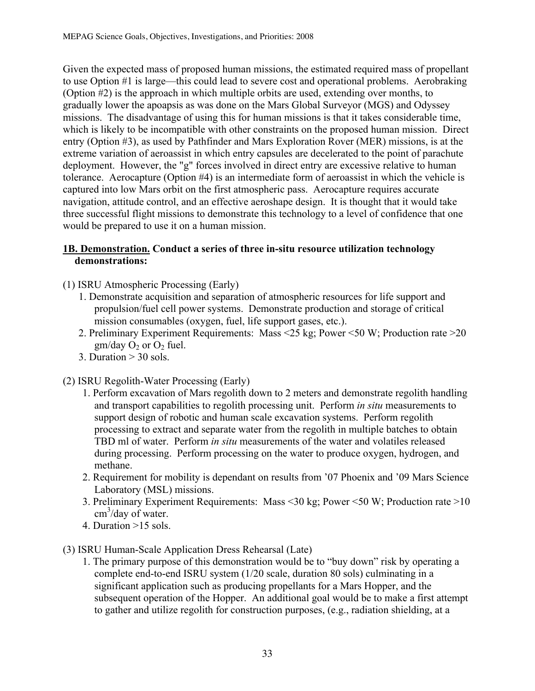Given the expected mass of proposed human missions, the estimated required mass of propellant to use Option #1 is large—this could lead to severe cost and operational problems. Aerobraking (Option #2) is the approach in which multiple orbits are used, extending over months, to gradually lower the apoapsis as was done on the Mars Global Surveyor (MGS) and Odyssey missions. The disadvantage of using this for human missions is that it takes considerable time, which is likely to be incompatible with other constraints on the proposed human mission. Direct entry (Option #3), as used by Pathfinder and Mars Exploration Rover (MER) missions, is at the extreme variation of aeroassist in which entry capsules are decelerated to the point of parachute deployment. However, the "g" forces involved in direct entry are excessive relative to human tolerance. Aerocapture (Option #4) is an intermediate form of aeroassist in which the vehicle is captured into low Mars orbit on the first atmospheric pass. Aerocapture requires accurate navigation, attitude control, and an effective aeroshape design. It is thought that it would take three successful flight missions to demonstrate this technology to a level of confidence that one would be prepared to use it on a human mission.

#### **1B. Demonstration. Conduct a series of three in-situ resource utilization technology demonstrations:**

- (1) ISRU Atmospheric Processing (Early)
	- 1. Demonstrate acquisition and separation of atmospheric resources for life support and propulsion/fuel cell power systems. Demonstrate production and storage of critical mission consumables (oxygen, fuel, life support gases, etc.).
	- 2. Preliminary Experiment Requirements: Mass <25 kg; Power <50 W; Production rate >20  $gm/day O<sub>2</sub>$  or  $O<sub>2</sub>$  fuel.
	- 3. Duration  $> 30$  sols.
- (2) ISRU Regolith-Water Processing (Early)
	- 1. Perform excavation of Mars regolith down to 2 meters and demonstrate regolith handling and transport capabilities to regolith processing unit. Perform *in situ* measurements to support design of robotic and human scale excavation systems. Perform regolith processing to extract and separate water from the regolith in multiple batches to obtain TBD ml of water. Perform *in situ* measurements of the water and volatiles released during processing. Perform processing on the water to produce oxygen, hydrogen, and methane.
	- 2. Requirement for mobility is dependant on results from '07 Phoenix and '09 Mars Science Laboratory (MSL) missions.
	- 3. Preliminary Experiment Requirements: Mass <30 kg; Power <50 W; Production rate >10 cm<sup>3</sup>/day of water.
	- 4. Duration >15 sols.
- (3) ISRU Human-Scale Application Dress Rehearsal (Late)
	- 1. The primary purpose of this demonstration would be to "buy down" risk by operating a complete end-to-end ISRU system (1/20 scale, duration 80 sols) culminating in a significant application such as producing propellants for a Mars Hopper, and the subsequent operation of the Hopper. An additional goal would be to make a first attempt to gather and utilize regolith for construction purposes, (e.g., radiation shielding, at a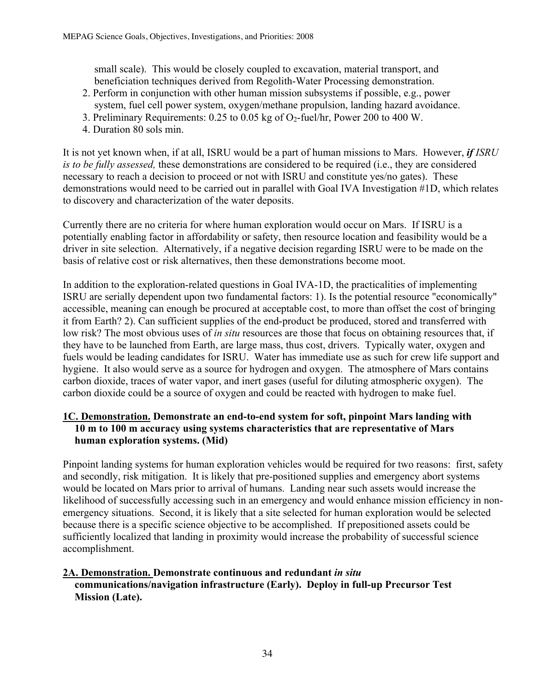small scale). This would be closely coupled to excavation, material transport, and beneficiation techniques derived from Regolith-Water Processing demonstration.

- 2. Perform in conjunction with other human mission subsystems if possible, e.g., power system, fuel cell power system, oxygen/methane propulsion, landing hazard avoidance.
- 3. Preliminary Requirements:  $0.25$  to  $0.05$  kg of  $O_2$ -fuel/hr, Power 200 to 400 W.
- 4. Duration 80 sols min.

It is not yet known when, if at all, ISRU would be a part of human missions to Mars. However, *if ISRU is to be fully assessed,* these demonstrations are considered to be required (i.e., they are considered necessary to reach a decision to proceed or not with ISRU and constitute yes/no gates). These demonstrations would need to be carried out in parallel with Goal IVA Investigation #1D, which relates to discovery and characterization of the water deposits.

Currently there are no criteria for where human exploration would occur on Mars. If ISRU is a potentially enabling factor in affordability or safety, then resource location and feasibility would be a driver in site selection. Alternatively, if a negative decision regarding ISRU were to be made on the basis of relative cost or risk alternatives, then these demonstrations become moot.

In addition to the exploration-related questions in Goal IVA-1D, the practicalities of implementing ISRU are serially dependent upon two fundamental factors: 1). Is the potential resource "economically" accessible, meaning can enough be procured at acceptable cost, to more than offset the cost of bringing it from Earth? 2). Can sufficient supplies of the end-product be produced, stored and transferred with low risk? The most obvious uses of *in situ* resources are those that focus on obtaining resources that, if they have to be launched from Earth, are large mass, thus cost, drivers. Typically water, oxygen and fuels would be leading candidates for ISRU. Water has immediate use as such for crew life support and hygiene. It also would serve as a source for hydrogen and oxygen. The atmosphere of Mars contains carbon dioxide, traces of water vapor, and inert gases (useful for diluting atmospheric oxygen). The carbon dioxide could be a source of oxygen and could be reacted with hydrogen to make fuel.

#### **1C. Demonstration. Demonstrate an end-to-end system for soft, pinpoint Mars landing with 10 m to 100 m accuracy using systems characteristics that are representative of Mars human exploration systems. (Mid)**

Pinpoint landing systems for human exploration vehicles would be required for two reasons: first, safety and secondly, risk mitigation. It is likely that pre-positioned supplies and emergency abort systems would be located on Mars prior to arrival of humans. Landing near such assets would increase the likelihood of successfully accessing such in an emergency and would enhance mission efficiency in nonemergency situations. Second, it is likely that a site selected for human exploration would be selected because there is a specific science objective to be accomplished. If prepositioned assets could be sufficiently localized that landing in proximity would increase the probability of successful science accomplishment.

#### **2A. Demonstration. Demonstrate continuous and redundant** *in situ* **communications/navigation infrastructure (Early). Deploy in full-up Precursor Test Mission (Late).**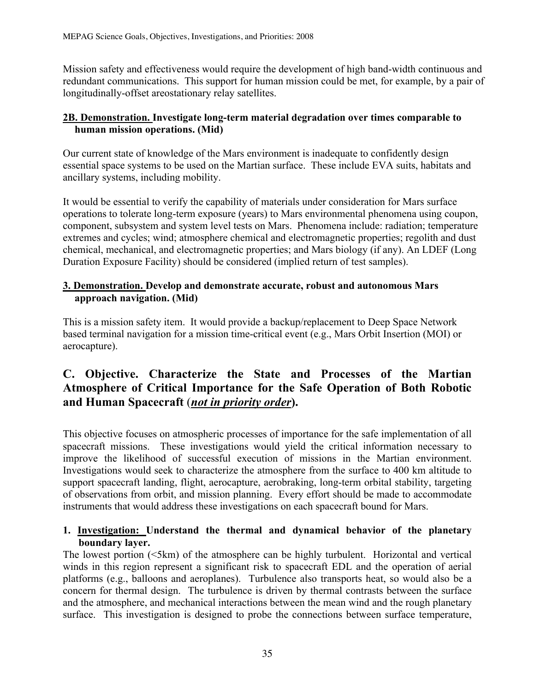Mission safety and effectiveness would require the development of high band-width continuous and redundant communications. This support for human mission could be met, for example, by a pair of longitudinally-offset areostationary relay satellites.

#### **2B. Demonstration. Investigate long-term material degradation over times comparable to human mission operations. (Mid)**

Our current state of knowledge of the Mars environment is inadequate to confidently design essential space systems to be used on the Martian surface. These include EVA suits, habitats and ancillary systems, including mobility.

It would be essential to verify the capability of materials under consideration for Mars surface operations to tolerate long-term exposure (years) to Mars environmental phenomena using coupon, component, subsystem and system level tests on Mars. Phenomena include: radiation; temperature extremes and cycles; wind; atmosphere chemical and electromagnetic properties; regolith and dust chemical, mechanical, and electromagnetic properties; and Mars biology (if any). An LDEF (Long Duration Exposure Facility) should be considered (implied return of test samples).

#### **3. Demonstration. Develop and demonstrate accurate, robust and autonomous Mars approach navigation. (Mid)**

This is a mission safety item. It would provide a backup/replacement to Deep Space Network based terminal navigation for a mission time-critical event (e.g., Mars Orbit Insertion (MOI) or aerocapture).

# **C. Objective. Characterize the State and Processes of the Martian Atmosphere of Critical Importance for the Safe Operation of Both Robotic and Human Spacecraft** (*not in priority order***).**

This objective focuses on atmospheric processes of importance for the safe implementation of all spacecraft missions. These investigations would yield the critical information necessary to improve the likelihood of successful execution of missions in the Martian environment. Investigations would seek to characterize the atmosphere from the surface to 400 km altitude to support spacecraft landing, flight, aerocapture, aerobraking, long-term orbital stability, targeting of observations from orbit, and mission planning. Every effort should be made to accommodate instruments that would address these investigations on each spacecraft bound for Mars.

#### **1. Investigation: Understand the thermal and dynamical behavior of the planetary boundary layer.**

The lowest portion (<5km) of the atmosphere can be highly turbulent. Horizontal and vertical winds in this region represent a significant risk to spacecraft EDL and the operation of aerial platforms (e.g., balloons and aeroplanes). Turbulence also transports heat, so would also be a concern for thermal design. The turbulence is driven by thermal contrasts between the surface and the atmosphere, and mechanical interactions between the mean wind and the rough planetary surface. This investigation is designed to probe the connections between surface temperature,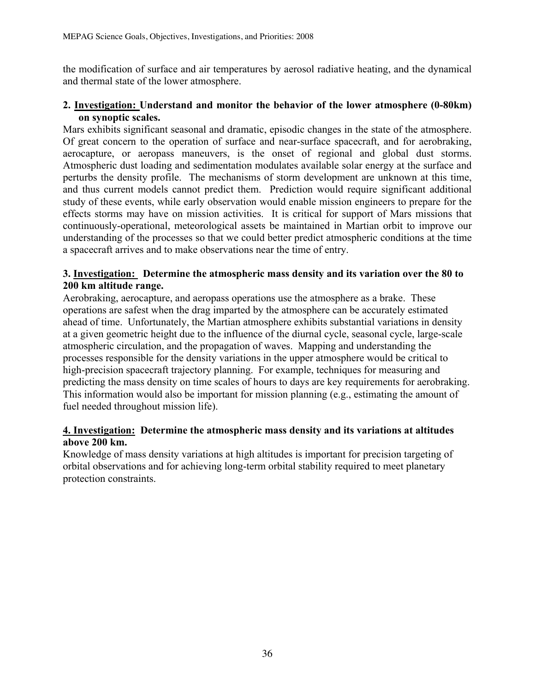the modification of surface and air temperatures by aerosol radiative heating, and the dynamical and thermal state of the lower atmosphere.

#### **2. Investigation: Understand and monitor the behavior of the lower atmosphere (0-80km) on synoptic scales.**

Mars exhibits significant seasonal and dramatic, episodic changes in the state of the atmosphere. Of great concern to the operation of surface and near-surface spacecraft, and for aerobraking, aerocapture, or aeropass maneuvers, is the onset of regional and global dust storms. Atmospheric dust loading and sedimentation modulates available solar energy at the surface and perturbs the density profile. The mechanisms of storm development are unknown at this time, and thus current models cannot predict them. Prediction would require significant additional study of these events, while early observation would enable mission engineers to prepare for the effects storms may have on mission activities. It is critical for support of Mars missions that continuously-operational, meteorological assets be maintained in Martian orbit to improve our understanding of the processes so that we could better predict atmospheric conditions at the time a spacecraft arrives and to make observations near the time of entry.

#### **3. Investigation: Determine the atmospheric mass density and its variation over the 80 to 200 km altitude range.**

Aerobraking, aerocapture, and aeropass operations use the atmosphere as a brake. These operations are safest when the drag imparted by the atmosphere can be accurately estimated ahead of time. Unfortunately, the Martian atmosphere exhibits substantial variations in density at a given geometric height due to the influence of the diurnal cycle, seasonal cycle, large-scale atmospheric circulation, and the propagation of waves. Mapping and understanding the processes responsible for the density variations in the upper atmosphere would be critical to high-precision spacecraft trajectory planning. For example, techniques for measuring and predicting the mass density on time scales of hours to days are key requirements for aerobraking. This information would also be important for mission planning (e.g., estimating the amount of fuel needed throughout mission life).

#### **4. Investigation: Determine the atmospheric mass density and its variations at altitudes above 200 km.**

Knowledge of mass density variations at high altitudes is important for precision targeting of orbital observations and for achieving long-term orbital stability required to meet planetary protection constraints.